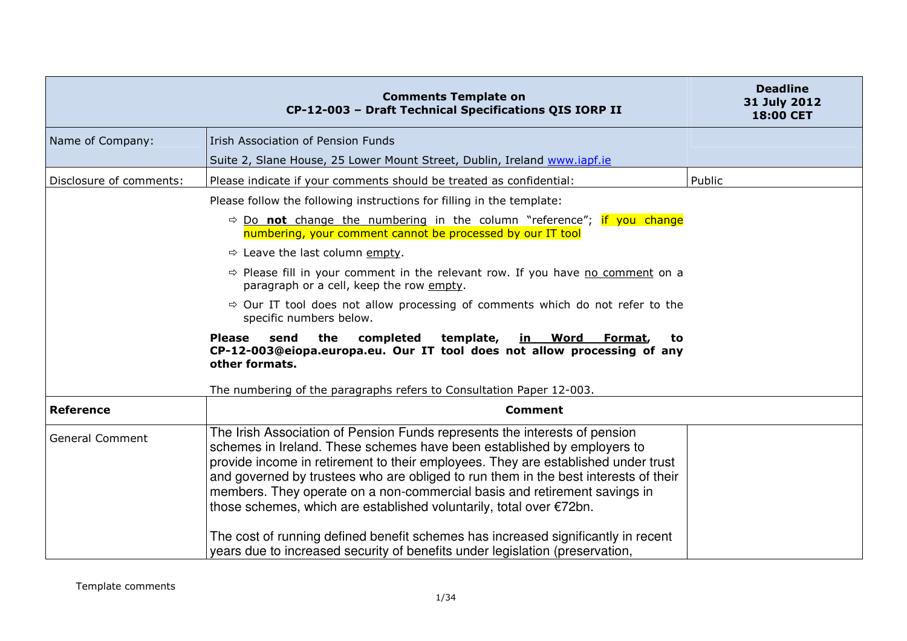| <b>Comments Template on</b><br>CP-12-003 - Draft Technical Specifications QIS IORP II                                                                                                                                                                                                                                                                                                                                                                                                                                                                                                | <b>Deadline</b><br>31 July 2012<br>18:00 CET                                 |
|--------------------------------------------------------------------------------------------------------------------------------------------------------------------------------------------------------------------------------------------------------------------------------------------------------------------------------------------------------------------------------------------------------------------------------------------------------------------------------------------------------------------------------------------------------------------------------------|------------------------------------------------------------------------------|
| <b>Irish Association of Pension Funds</b>                                                                                                                                                                                                                                                                                                                                                                                                                                                                                                                                            |                                                                              |
| Suite 2, Slane House, 25 Lower Mount Street, Dublin, Ireland www.iapf.ie                                                                                                                                                                                                                                                                                                                                                                                                                                                                                                             |                                                                              |
| Please indicate if your comments should be treated as confidential:                                                                                                                                                                                                                                                                                                                                                                                                                                                                                                                  | Public                                                                       |
| Please follow the following instructions for filling in the template:                                                                                                                                                                                                                                                                                                                                                                                                                                                                                                                |                                                                              |
| $\Rightarrow$ Do not change the numbering in the column "reference"; if you change<br>numbering, your comment cannot be processed by our IT tool                                                                                                                                                                                                                                                                                                                                                                                                                                     |                                                                              |
| $\Rightarrow$ Leave the last column empty.                                                                                                                                                                                                                                                                                                                                                                                                                                                                                                                                           |                                                                              |
| $\Rightarrow$ Please fill in your comment in the relevant row. If you have no comment on a<br>paragraph or a cell, keep the row empty.                                                                                                                                                                                                                                                                                                                                                                                                                                               |                                                                              |
| $\Rightarrow$ Our IT tool does not allow processing of comments which do not refer to the<br>specific numbers below.                                                                                                                                                                                                                                                                                                                                                                                                                                                                 |                                                                              |
| <b>Please</b><br>the<br>completed<br>template,<br>send<br><b>Word</b><br>Format,<br><u>in _</u><br>to<br>CP-12-003@eiopa.europa.eu. Our IT tool does not allow processing of any<br>other formats.                                                                                                                                                                                                                                                                                                                                                                                   |                                                                              |
| The numbering of the paragraphs refers to Consultation Paper 12-003.                                                                                                                                                                                                                                                                                                                                                                                                                                                                                                                 |                                                                              |
| <b>Comment</b>                                                                                                                                                                                                                                                                                                                                                                                                                                                                                                                                                                       |                                                                              |
| The Irish Association of Pension Funds represents the interests of pension<br>schemes in Ireland. These schemes have been established by employers to<br>provide income in retirement to their employees. They are established under trust<br>and governed by trustees who are obliged to run them in the best interests of their<br>members. They operate on a non-commercial basis and retirement savings in<br>those schemes, which are established voluntarily, total over $\epsilon$ 72bn.<br>The cost of running defined benefit schemes has increased significantly in recent |                                                                              |
|                                                                                                                                                                                                                                                                                                                                                                                                                                                                                                                                                                                      | years due to increased security of benefits under legislation (preservation, |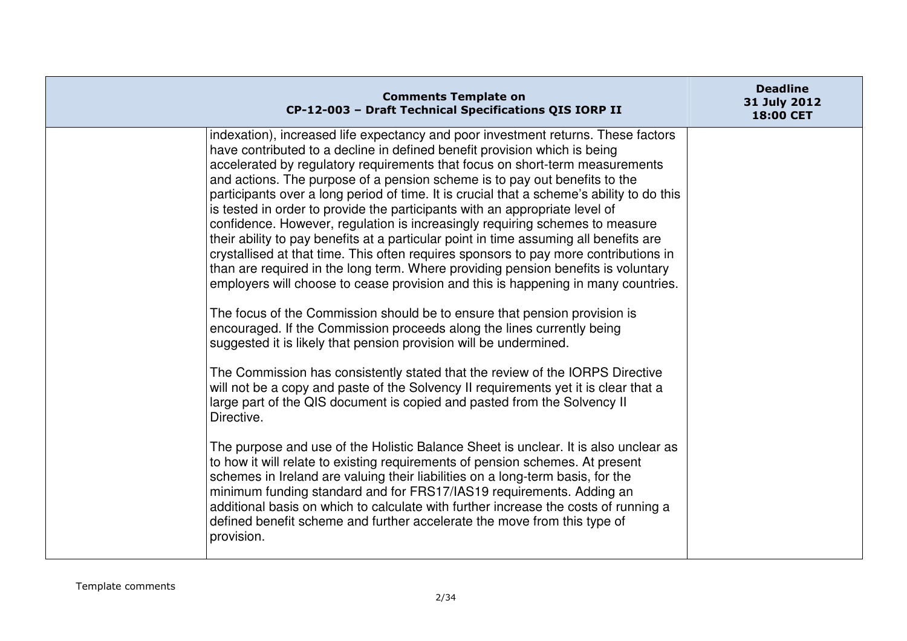| <b>Comments Template on</b><br>CP-12-003 - Draft Technical Specifications QIS IORP II                                                                                                                                                                                                                                                                                                                                                                                                                                                                                                                                                                                                                                                                                                                                                                                                                                                                                                                                                                                                                                                                                                                                                                                                                                                                                                                                                             | <b>Deadline</b><br>31 July 2012<br><b>18:00 CET</b> |
|---------------------------------------------------------------------------------------------------------------------------------------------------------------------------------------------------------------------------------------------------------------------------------------------------------------------------------------------------------------------------------------------------------------------------------------------------------------------------------------------------------------------------------------------------------------------------------------------------------------------------------------------------------------------------------------------------------------------------------------------------------------------------------------------------------------------------------------------------------------------------------------------------------------------------------------------------------------------------------------------------------------------------------------------------------------------------------------------------------------------------------------------------------------------------------------------------------------------------------------------------------------------------------------------------------------------------------------------------------------------------------------------------------------------------------------------------|-----------------------------------------------------|
| indexation), increased life expectancy and poor investment returns. These factors<br>have contributed to a decline in defined benefit provision which is being<br>accelerated by regulatory requirements that focus on short-term measurements<br>and actions. The purpose of a pension scheme is to pay out benefits to the<br>participants over a long period of time. It is crucial that a scheme's ability to do this<br>is tested in order to provide the participants with an appropriate level of<br>confidence. However, regulation is increasingly requiring schemes to measure<br>their ability to pay benefits at a particular point in time assuming all benefits are<br>crystallised at that time. This often requires sponsors to pay more contributions in<br>than are required in the long term. Where providing pension benefits is voluntary<br>employers will choose to cease provision and this is happening in many countries.<br>The focus of the Commission should be to ensure that pension provision is<br>encouraged. If the Commission proceeds along the lines currently being<br>suggested it is likely that pension provision will be undermined.<br>The Commission has consistently stated that the review of the IORPS Directive<br>will not be a copy and paste of the Solvency II requirements yet it is clear that a<br>large part of the QIS document is copied and pasted from the Solvency II<br>Directive. |                                                     |
| The purpose and use of the Holistic Balance Sheet is unclear. It is also unclear as<br>to how it will relate to existing requirements of pension schemes. At present<br>schemes in Ireland are valuing their liabilities on a long-term basis, for the<br>minimum funding standard and for FRS17/IAS19 requirements. Adding an<br>additional basis on which to calculate with further increase the costs of running a<br>defined benefit scheme and further accelerate the move from this type of<br>provision.                                                                                                                                                                                                                                                                                                                                                                                                                                                                                                                                                                                                                                                                                                                                                                                                                                                                                                                                   |                                                     |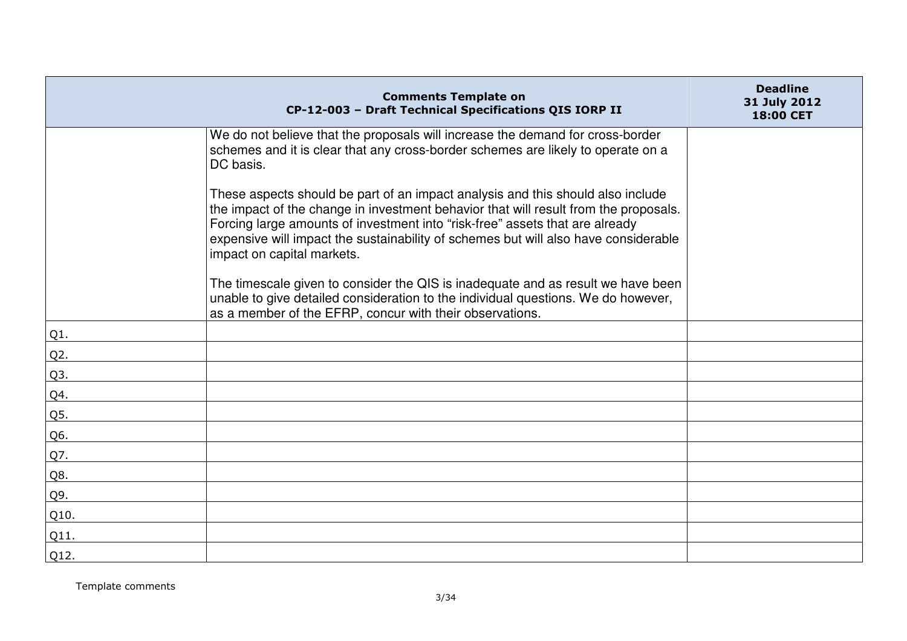|                  | <b>Comments Template on</b><br>CP-12-003 - Draft Technical Specifications QIS IORP II                                                                                                                                                                                                                                                                                        | <b>Deadline</b><br>31 July 2012<br>18:00 CET |
|------------------|------------------------------------------------------------------------------------------------------------------------------------------------------------------------------------------------------------------------------------------------------------------------------------------------------------------------------------------------------------------------------|----------------------------------------------|
|                  | We do not believe that the proposals will increase the demand for cross-border<br>schemes and it is clear that any cross-border schemes are likely to operate on a<br>DC basis.                                                                                                                                                                                              |                                              |
|                  | These aspects should be part of an impact analysis and this should also include<br>the impact of the change in investment behavior that will result from the proposals.<br>Forcing large amounts of investment into "risk-free" assets that are already<br>expensive will impact the sustainability of schemes but will also have considerable<br>impact on capital markets. |                                              |
|                  | The timescale given to consider the QIS is inadequate and as result we have been<br>unable to give detailed consideration to the individual questions. We do however,<br>as a member of the EFRP, concur with their observations.                                                                                                                                            |                                              |
| Q1.              |                                                                                                                                                                                                                                                                                                                                                                              |                                              |
| Q <sub>2</sub> . |                                                                                                                                                                                                                                                                                                                                                                              |                                              |
| Q3.              |                                                                                                                                                                                                                                                                                                                                                                              |                                              |
| Q4.              |                                                                                                                                                                                                                                                                                                                                                                              |                                              |
| Q5.              |                                                                                                                                                                                                                                                                                                                                                                              |                                              |
| Q6.              |                                                                                                                                                                                                                                                                                                                                                                              |                                              |
| Q7.              |                                                                                                                                                                                                                                                                                                                                                                              |                                              |
| Q8.              |                                                                                                                                                                                                                                                                                                                                                                              |                                              |
| Q9.              |                                                                                                                                                                                                                                                                                                                                                                              |                                              |
| Q10.             |                                                                                                                                                                                                                                                                                                                                                                              |                                              |
| Q11.             |                                                                                                                                                                                                                                                                                                                                                                              |                                              |
| Q12.             |                                                                                                                                                                                                                                                                                                                                                                              |                                              |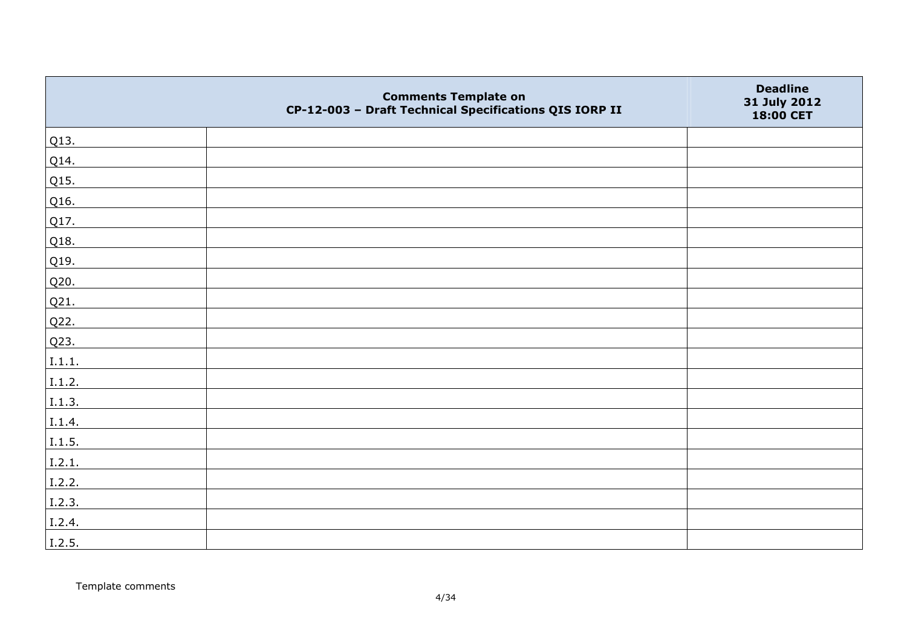|        | <b>Comments Template on</b><br>CP-12-003 - Draft Technical Specifications QIS IORP II | <b>Deadline</b><br>31 July 2012<br>18:00 CET |
|--------|---------------------------------------------------------------------------------------|----------------------------------------------|
| Q13.   |                                                                                       |                                              |
| Q14.   |                                                                                       |                                              |
| Q15.   |                                                                                       |                                              |
| Q16.   |                                                                                       |                                              |
| Q17.   |                                                                                       |                                              |
| Q18.   |                                                                                       |                                              |
| Q19.   |                                                                                       |                                              |
| Q20.   |                                                                                       |                                              |
| Q21.   |                                                                                       |                                              |
| Q22.   |                                                                                       |                                              |
| Q23.   |                                                                                       |                                              |
| I.1.1. |                                                                                       |                                              |
| I.1.2. |                                                                                       |                                              |
| I.1.3. |                                                                                       |                                              |
| I.1.4. |                                                                                       |                                              |
| I.1.5. |                                                                                       |                                              |
| I.2.1. |                                                                                       |                                              |
| I.2.2. |                                                                                       |                                              |
| I.2.3. |                                                                                       |                                              |
| I.2.4. |                                                                                       |                                              |
| I.2.5. |                                                                                       |                                              |

Template comments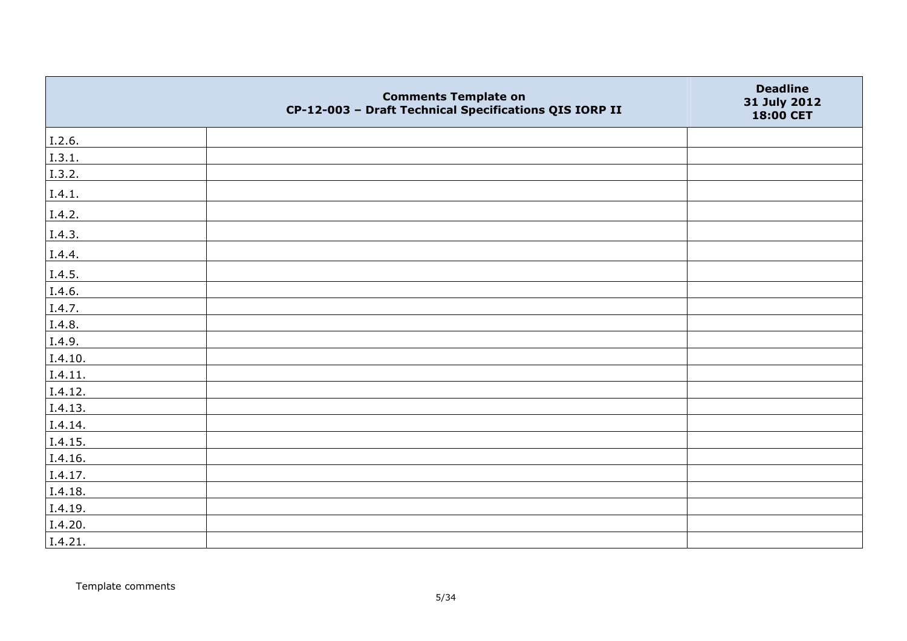|         | <b>Comments Template on</b><br>CP-12-003 - Draft Technical Specifications QIS IORP II | <b>Deadline</b><br>31 July 2012<br>18:00 CET |
|---------|---------------------------------------------------------------------------------------|----------------------------------------------|
| I.2.6.  |                                                                                       |                                              |
| I.3.1.  |                                                                                       |                                              |
| I.3.2.  |                                                                                       |                                              |
| I.4.1.  |                                                                                       |                                              |
| I.4.2.  |                                                                                       |                                              |
| I.4.3.  |                                                                                       |                                              |
| I.4.4.  |                                                                                       |                                              |
| I.4.5.  |                                                                                       |                                              |
| I.4.6.  |                                                                                       |                                              |
| I.4.7.  |                                                                                       |                                              |
| I.4.8.  |                                                                                       |                                              |
| I.4.9.  |                                                                                       |                                              |
| I.4.10. |                                                                                       |                                              |
| I.4.11. |                                                                                       |                                              |
| I.4.12. |                                                                                       |                                              |
| I.4.13. |                                                                                       |                                              |
| I.4.14. |                                                                                       |                                              |
| I.4.15. |                                                                                       |                                              |
| I.4.16. |                                                                                       |                                              |
| I.4.17. |                                                                                       |                                              |
| I.4.18. |                                                                                       |                                              |
| I.4.19. |                                                                                       |                                              |
| I.4.20. |                                                                                       |                                              |
| I.4.21. |                                                                                       |                                              |

Template comments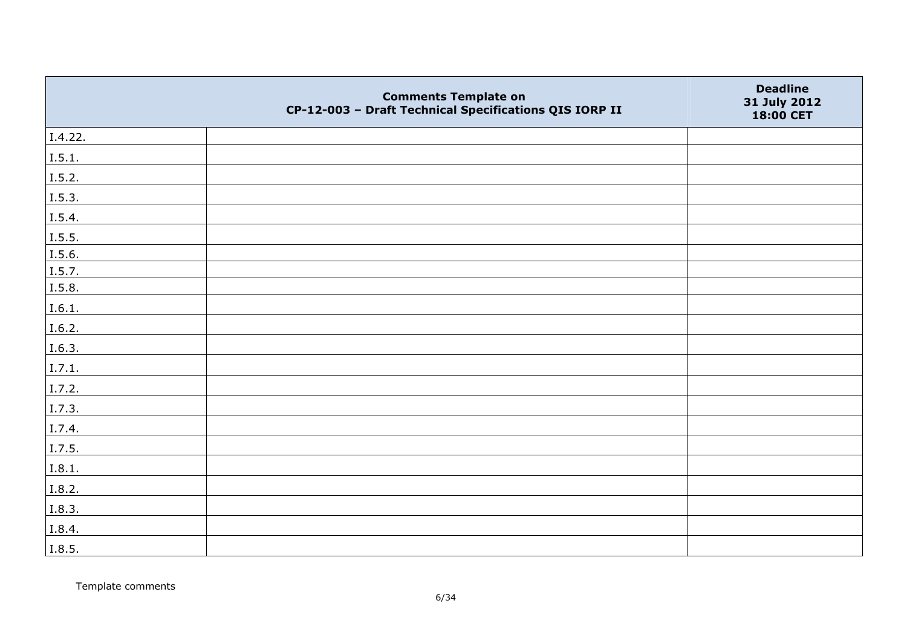|         | <b>Comments Template on</b><br>CP-12-003 - Draft Technical Specifications QIS IORP II | <b>Deadline</b><br>31 July 2012<br>18:00 CET |
|---------|---------------------------------------------------------------------------------------|----------------------------------------------|
| I.4.22. |                                                                                       |                                              |
| I.5.1.  |                                                                                       |                                              |
| I.5.2.  |                                                                                       |                                              |
| I.5.3.  |                                                                                       |                                              |
| I.5.4.  |                                                                                       |                                              |
| I.5.5.  |                                                                                       |                                              |
| I.5.6.  |                                                                                       |                                              |
| I.5.7.  |                                                                                       |                                              |
| I.5.8.  |                                                                                       |                                              |
| I.6.1.  |                                                                                       |                                              |
| I.6.2.  |                                                                                       |                                              |
| I.6.3.  |                                                                                       |                                              |
| I.7.1.  |                                                                                       |                                              |
| I.7.2.  |                                                                                       |                                              |
| I.7.3.  |                                                                                       |                                              |
| I.7.4.  |                                                                                       |                                              |
| I.7.5.  |                                                                                       |                                              |
| I.8.1.  |                                                                                       |                                              |
| I.8.2.  |                                                                                       |                                              |
| I.8.3.  |                                                                                       |                                              |
| I.8.4.  |                                                                                       |                                              |
| I.8.5.  |                                                                                       |                                              |

Template comments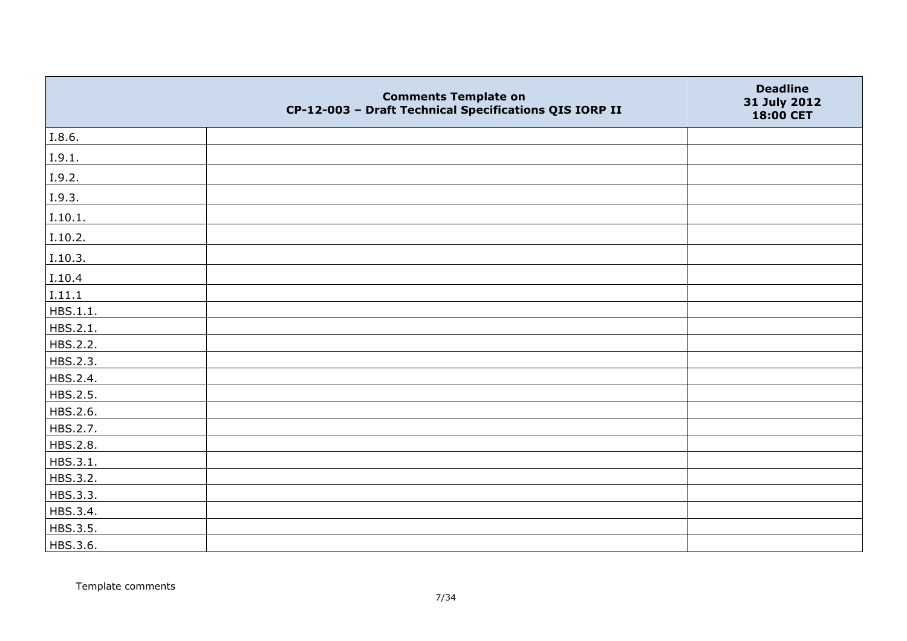|          | <b>Comments Template on</b><br>CP-12-003 - Draft Technical Specifications QIS IORP II | <b>Deadline</b><br>31 July 2012<br>18:00 CET |
|----------|---------------------------------------------------------------------------------------|----------------------------------------------|
| I.8.6.   |                                                                                       |                                              |
| I.9.1.   |                                                                                       |                                              |
| I.9.2.   |                                                                                       |                                              |
| I.9.3.   |                                                                                       |                                              |
| I.10.1.  |                                                                                       |                                              |
| I.10.2.  |                                                                                       |                                              |
| I.10.3.  |                                                                                       |                                              |
| I.10.4   |                                                                                       |                                              |
| I.11.1   |                                                                                       |                                              |
| HBS.1.1. |                                                                                       |                                              |
| HBS.2.1. |                                                                                       |                                              |
| HBS.2.2. |                                                                                       |                                              |
| HBS.2.3. |                                                                                       |                                              |
| HBS.2.4. |                                                                                       |                                              |
| HBS.2.5. |                                                                                       |                                              |
| HBS.2.6. |                                                                                       |                                              |
| HBS.2.7. |                                                                                       |                                              |
| HBS.2.8. |                                                                                       |                                              |
| HBS.3.1. |                                                                                       |                                              |
| HBS.3.2. |                                                                                       |                                              |
| HBS.3.3. |                                                                                       |                                              |
| HBS.3.4. |                                                                                       |                                              |
| HBS.3.5. |                                                                                       |                                              |
| HBS.3.6. |                                                                                       |                                              |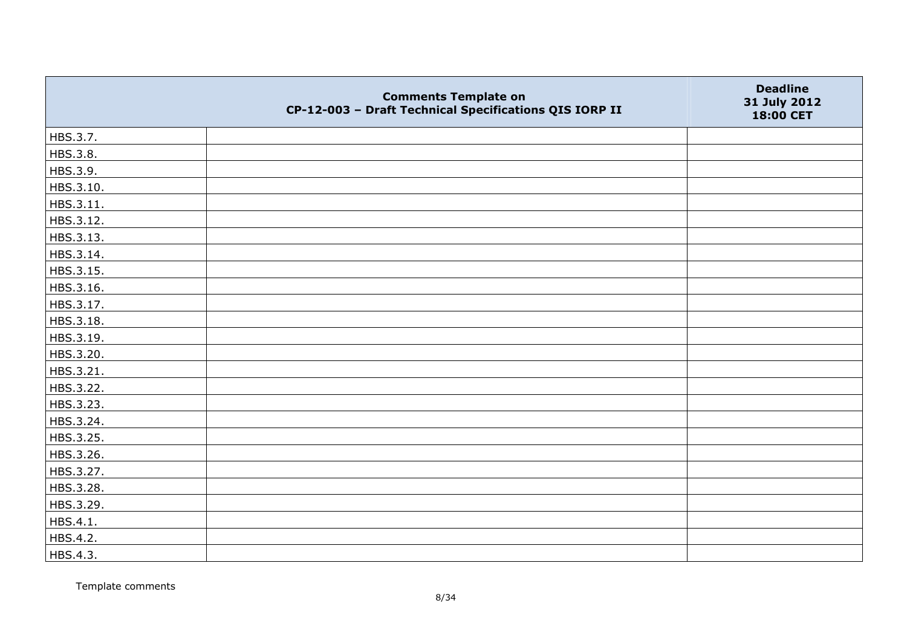|           | <b>Comments Template on</b><br>CP-12-003 - Draft Technical Specifications QIS IORP II | <b>Deadline</b><br>31 July 2012<br>18:00 CET |
|-----------|---------------------------------------------------------------------------------------|----------------------------------------------|
| HBS.3.7.  |                                                                                       |                                              |
| HBS.3.8.  |                                                                                       |                                              |
| HBS.3.9.  |                                                                                       |                                              |
| HBS.3.10. |                                                                                       |                                              |
| HBS.3.11. |                                                                                       |                                              |
| HBS.3.12. |                                                                                       |                                              |
| HBS.3.13. |                                                                                       |                                              |
| HBS.3.14. |                                                                                       |                                              |
| HBS.3.15. |                                                                                       |                                              |
| HBS.3.16. |                                                                                       |                                              |
| HBS.3.17. |                                                                                       |                                              |
| HBS.3.18. |                                                                                       |                                              |
| HBS.3.19. |                                                                                       |                                              |
| HBS.3.20. |                                                                                       |                                              |
| HBS.3.21. |                                                                                       |                                              |
| HBS.3.22. |                                                                                       |                                              |
| HBS.3.23. |                                                                                       |                                              |
| HBS.3.24. |                                                                                       |                                              |
| HBS.3.25. |                                                                                       |                                              |
| HBS.3.26. |                                                                                       |                                              |
| HBS.3.27. |                                                                                       |                                              |
| HBS.3.28. |                                                                                       |                                              |
| HBS.3.29. |                                                                                       |                                              |
| HBS.4.1.  |                                                                                       |                                              |
| HBS.4.2.  |                                                                                       |                                              |
| HBS.4.3.  |                                                                                       |                                              |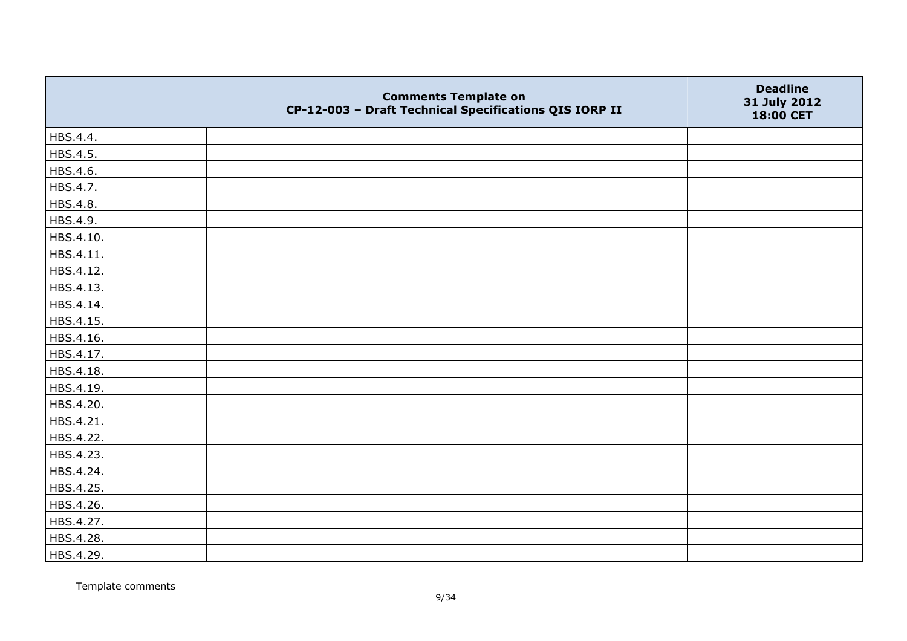|           | <b>Comments Template on</b><br>CP-12-003 - Draft Technical Specifications QIS IORP II | <b>Deadline</b><br>31 July 2012<br>18:00 CET |
|-----------|---------------------------------------------------------------------------------------|----------------------------------------------|
| HBS.4.4.  |                                                                                       |                                              |
| HBS.4.5.  |                                                                                       |                                              |
| HBS.4.6.  |                                                                                       |                                              |
| HBS.4.7.  |                                                                                       |                                              |
| HBS.4.8.  |                                                                                       |                                              |
| HBS.4.9.  |                                                                                       |                                              |
| HBS.4.10. |                                                                                       |                                              |
| HBS.4.11. |                                                                                       |                                              |
| HBS.4.12. |                                                                                       |                                              |
| HBS.4.13. |                                                                                       |                                              |
| HBS.4.14. |                                                                                       |                                              |
| HBS.4.15. |                                                                                       |                                              |
| HBS.4.16. |                                                                                       |                                              |
| HBS.4.17. |                                                                                       |                                              |
| HBS.4.18. |                                                                                       |                                              |
| HBS.4.19. |                                                                                       |                                              |
| HBS.4.20. |                                                                                       |                                              |
| HBS.4.21. |                                                                                       |                                              |
| HBS.4.22. |                                                                                       |                                              |
| HBS.4.23. |                                                                                       |                                              |
| HBS.4.24. |                                                                                       |                                              |
| HBS.4.25. |                                                                                       |                                              |
| HBS.4.26. |                                                                                       |                                              |
| HBS.4.27. |                                                                                       |                                              |
| HBS.4.28. |                                                                                       |                                              |
| HBS.4.29. |                                                                                       |                                              |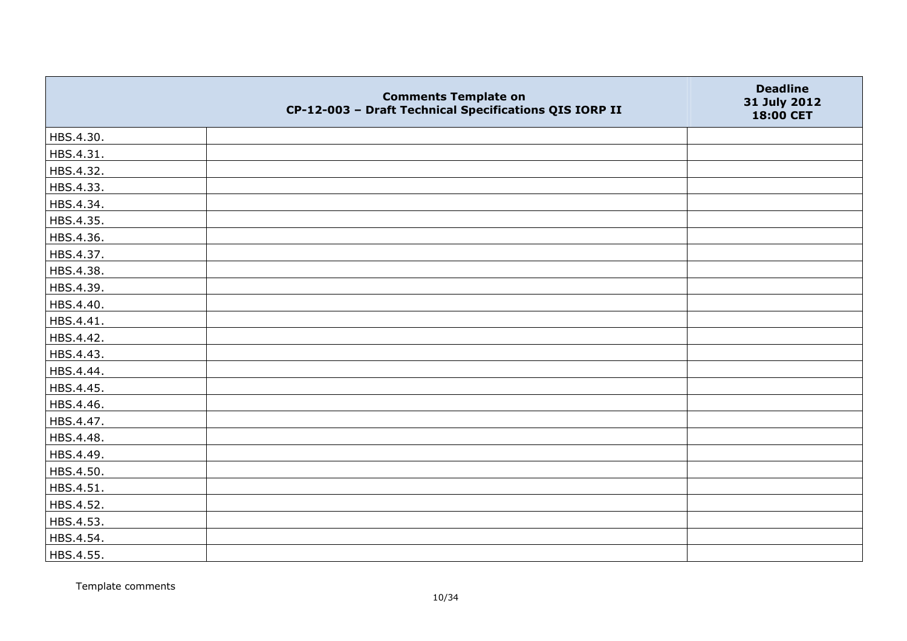|           | <b>Comments Template on</b><br>CP-12-003 - Draft Technical Specifications QIS IORP II | <b>Deadline</b><br>31 July 2012<br>18:00 CET |
|-----------|---------------------------------------------------------------------------------------|----------------------------------------------|
| HBS.4.30. |                                                                                       |                                              |
| HBS.4.31. |                                                                                       |                                              |
| HBS.4.32. |                                                                                       |                                              |
| HBS.4.33. |                                                                                       |                                              |
| HBS.4.34. |                                                                                       |                                              |
| HBS.4.35. |                                                                                       |                                              |
| HBS.4.36. |                                                                                       |                                              |
| HBS.4.37. |                                                                                       |                                              |
| HBS.4.38. |                                                                                       |                                              |
| HBS.4.39. |                                                                                       |                                              |
| HBS.4.40. |                                                                                       |                                              |
| HBS.4.41. |                                                                                       |                                              |
| HBS.4.42. |                                                                                       |                                              |
| HBS.4.43. |                                                                                       |                                              |
| HBS.4.44. |                                                                                       |                                              |
| HBS.4.45. |                                                                                       |                                              |
| HBS.4.46. |                                                                                       |                                              |
| HBS.4.47. |                                                                                       |                                              |
| HBS.4.48. |                                                                                       |                                              |
| HBS.4.49. |                                                                                       |                                              |
| HBS.4.50. |                                                                                       |                                              |
| HBS.4.51. |                                                                                       |                                              |
| HBS.4.52. |                                                                                       |                                              |
| HBS.4.53. |                                                                                       |                                              |
| HBS.4.54. |                                                                                       |                                              |
| HBS.4.55. |                                                                                       |                                              |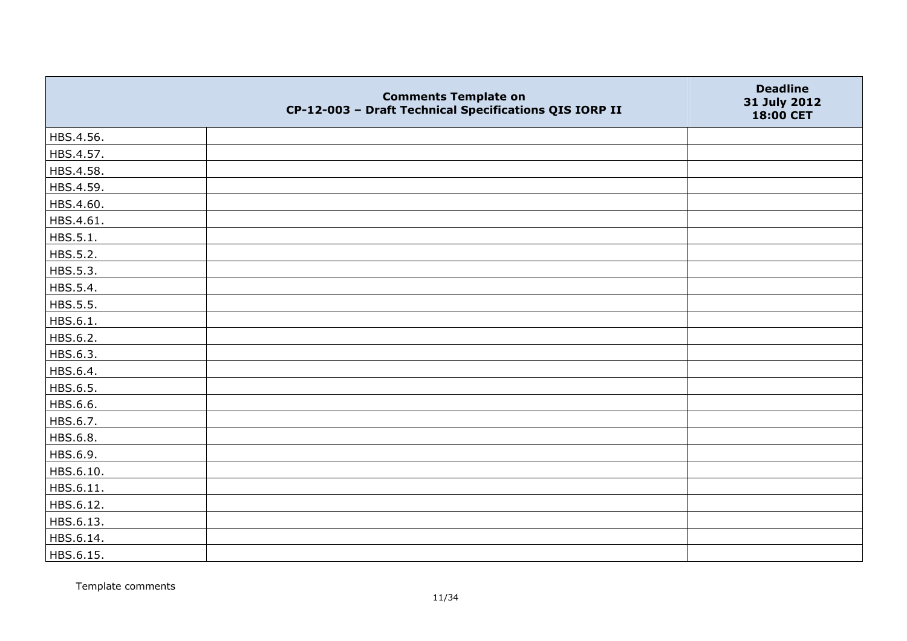|           | <b>Comments Template on</b><br>CP-12-003 - Draft Technical Specifications QIS IORP II | <b>Deadline</b><br>31 July 2012<br>18:00 CET |
|-----------|---------------------------------------------------------------------------------------|----------------------------------------------|
| HBS.4.56. |                                                                                       |                                              |
| HBS.4.57. |                                                                                       |                                              |
| HBS.4.58. |                                                                                       |                                              |
| HBS.4.59. |                                                                                       |                                              |
| HBS.4.60. |                                                                                       |                                              |
| HBS.4.61. |                                                                                       |                                              |
| HBS.5.1.  |                                                                                       |                                              |
| HBS.5.2.  |                                                                                       |                                              |
| HBS.5.3.  |                                                                                       |                                              |
| HBS.5.4.  |                                                                                       |                                              |
| HBS.5.5.  |                                                                                       |                                              |
| HBS.6.1.  |                                                                                       |                                              |
| HBS.6.2.  |                                                                                       |                                              |
| HBS.6.3.  |                                                                                       |                                              |
| HBS.6.4.  |                                                                                       |                                              |
| HBS.6.5.  |                                                                                       |                                              |
| HBS.6.6.  |                                                                                       |                                              |
| HBS.6.7.  |                                                                                       |                                              |
| HBS.6.8.  |                                                                                       |                                              |
| HBS.6.9.  |                                                                                       |                                              |
| HBS.6.10. |                                                                                       |                                              |
| HBS.6.11. |                                                                                       |                                              |
| HBS.6.12. |                                                                                       |                                              |
| HBS.6.13. |                                                                                       |                                              |
| HBS.6.14. |                                                                                       |                                              |
| HBS.6.15. |                                                                                       |                                              |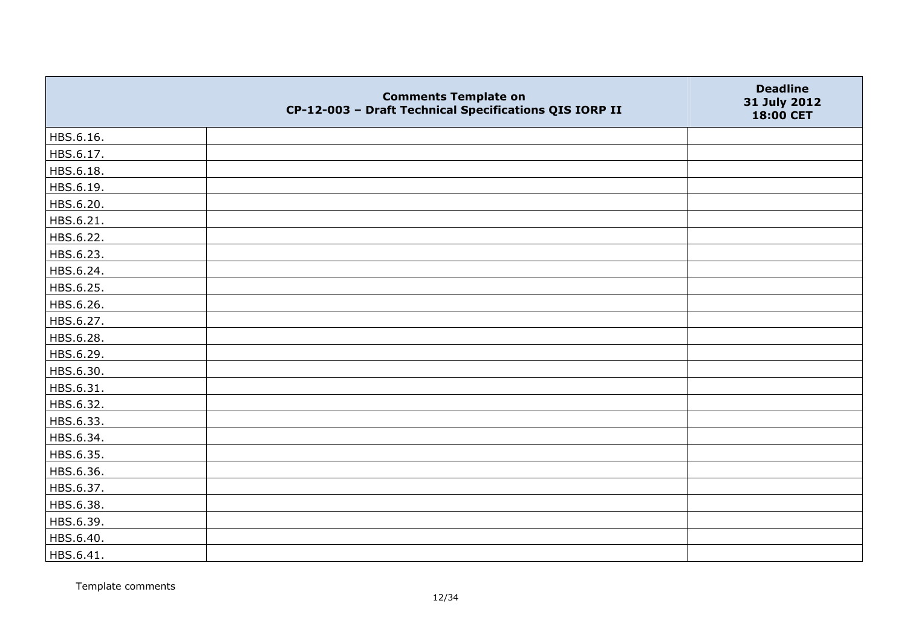|           | <b>Comments Template on</b><br>CP-12-003 - Draft Technical Specifications QIS IORP II | <b>Deadline</b><br>31 July 2012<br>18:00 CET |
|-----------|---------------------------------------------------------------------------------------|----------------------------------------------|
| HBS.6.16. |                                                                                       |                                              |
| HBS.6.17. |                                                                                       |                                              |
| HBS.6.18. |                                                                                       |                                              |
| HBS.6.19. |                                                                                       |                                              |
| HBS.6.20. |                                                                                       |                                              |
| HBS.6.21. |                                                                                       |                                              |
| HBS.6.22. |                                                                                       |                                              |
| HBS.6.23. |                                                                                       |                                              |
| HBS.6.24. |                                                                                       |                                              |
| HBS.6.25. |                                                                                       |                                              |
| HBS.6.26. |                                                                                       |                                              |
| HBS.6.27. |                                                                                       |                                              |
| HBS.6.28. |                                                                                       |                                              |
| HBS.6.29. |                                                                                       |                                              |
| HBS.6.30. |                                                                                       |                                              |
| HBS.6.31. |                                                                                       |                                              |
| HBS.6.32. |                                                                                       |                                              |
| HBS.6.33. |                                                                                       |                                              |
| HBS.6.34. |                                                                                       |                                              |
| HBS.6.35. |                                                                                       |                                              |
| HBS.6.36. |                                                                                       |                                              |
| HBS.6.37. |                                                                                       |                                              |
| HBS.6.38. |                                                                                       |                                              |
| HBS.6.39. |                                                                                       |                                              |
| HBS.6.40. |                                                                                       |                                              |
| HBS.6.41. |                                                                                       |                                              |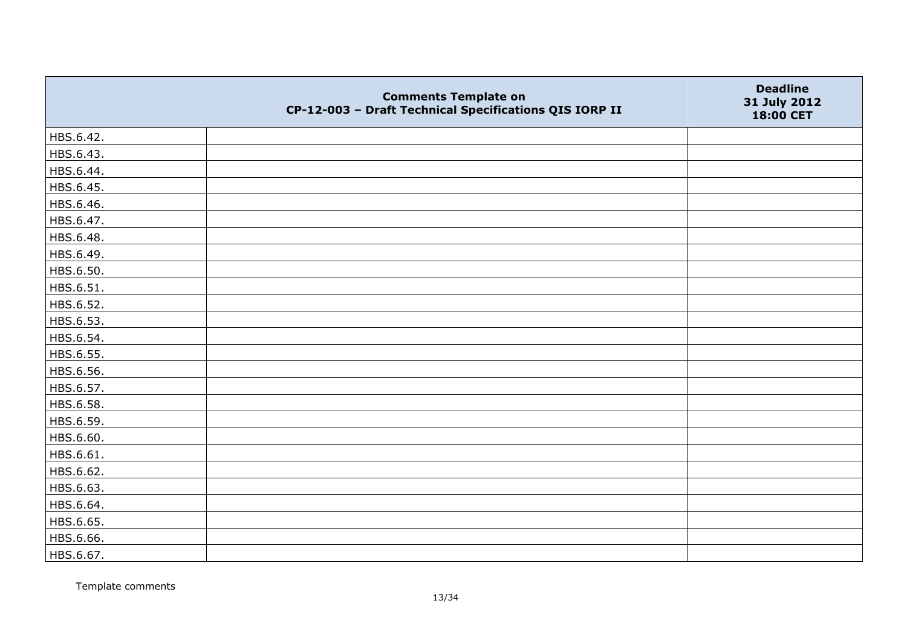|           | <b>Comments Template on</b><br>CP-12-003 - Draft Technical Specifications QIS IORP II | <b>Deadline</b><br>31 July 2012<br>18:00 CET |
|-----------|---------------------------------------------------------------------------------------|----------------------------------------------|
| HBS.6.42. |                                                                                       |                                              |
| HBS.6.43. |                                                                                       |                                              |
| HBS.6.44. |                                                                                       |                                              |
| HBS.6.45. |                                                                                       |                                              |
| HBS.6.46. |                                                                                       |                                              |
| HBS.6.47. |                                                                                       |                                              |
| HBS.6.48. |                                                                                       |                                              |
| HBS.6.49. |                                                                                       |                                              |
| HBS.6.50. |                                                                                       |                                              |
| HBS.6.51. |                                                                                       |                                              |
| HBS.6.52. |                                                                                       |                                              |
| HBS.6.53. |                                                                                       |                                              |
| HBS.6.54. |                                                                                       |                                              |
| HBS.6.55. |                                                                                       |                                              |
| HBS.6.56. |                                                                                       |                                              |
| HBS.6.57. |                                                                                       |                                              |
| HBS.6.58. |                                                                                       |                                              |
| HBS.6.59. |                                                                                       |                                              |
| HBS.6.60. |                                                                                       |                                              |
| HBS.6.61. |                                                                                       |                                              |
| HBS.6.62. |                                                                                       |                                              |
| HBS.6.63. |                                                                                       |                                              |
| HBS.6.64. |                                                                                       |                                              |
| HBS.6.65. |                                                                                       |                                              |
| HBS.6.66. |                                                                                       |                                              |
| HBS.6.67. |                                                                                       |                                              |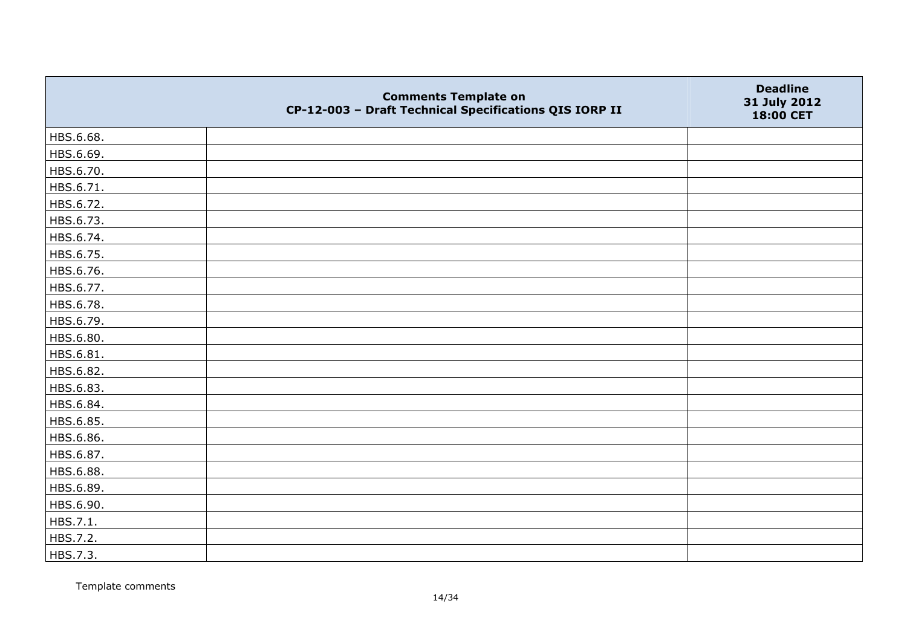|           | <b>Comments Template on</b><br>CP-12-003 - Draft Technical Specifications QIS IORP II | <b>Deadline</b><br>31 July 2012<br>18:00 CET |
|-----------|---------------------------------------------------------------------------------------|----------------------------------------------|
| HBS.6.68. |                                                                                       |                                              |
| HBS.6.69. |                                                                                       |                                              |
| HBS.6.70. |                                                                                       |                                              |
| HBS.6.71. |                                                                                       |                                              |
| HBS.6.72. |                                                                                       |                                              |
| HBS.6.73. |                                                                                       |                                              |
| HBS.6.74. |                                                                                       |                                              |
| HBS.6.75. |                                                                                       |                                              |
| HBS.6.76. |                                                                                       |                                              |
| HBS.6.77. |                                                                                       |                                              |
| HBS.6.78. |                                                                                       |                                              |
| HBS.6.79. |                                                                                       |                                              |
| HBS.6.80. |                                                                                       |                                              |
| HBS.6.81. |                                                                                       |                                              |
| HBS.6.82. |                                                                                       |                                              |
| HBS.6.83. |                                                                                       |                                              |
| HBS.6.84. |                                                                                       |                                              |
| HBS.6.85. |                                                                                       |                                              |
| HBS.6.86. |                                                                                       |                                              |
| HBS.6.87. |                                                                                       |                                              |
| HBS.6.88. |                                                                                       |                                              |
| HBS.6.89. |                                                                                       |                                              |
| HBS.6.90. |                                                                                       |                                              |
| HBS.7.1.  |                                                                                       |                                              |
| HBS.7.2.  |                                                                                       |                                              |
| HBS.7.3.  |                                                                                       |                                              |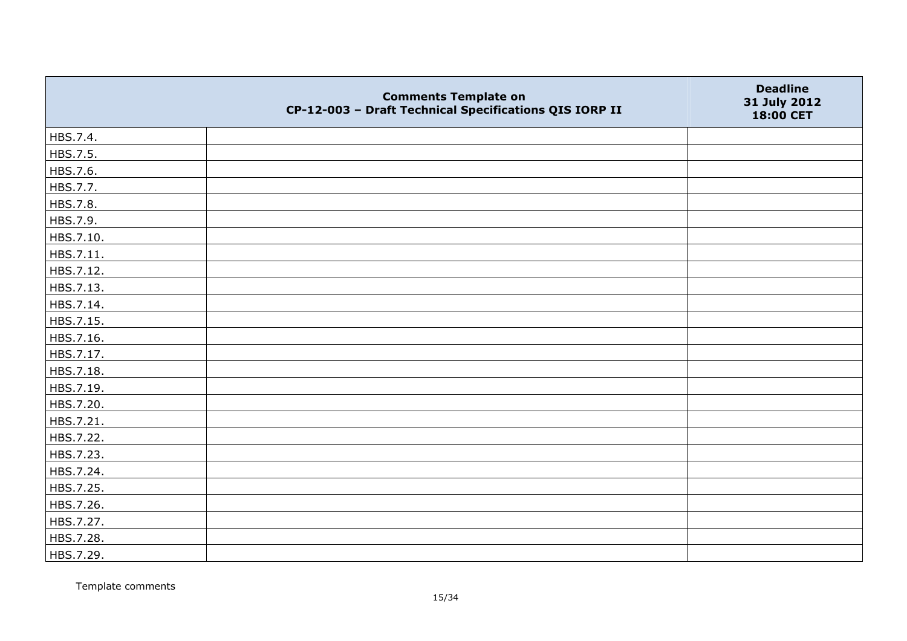|           | <b>Comments Template on</b><br>CP-12-003 - Draft Technical Specifications QIS IORP II | <b>Deadline</b><br>31 July 2012<br>18:00 CET |
|-----------|---------------------------------------------------------------------------------------|----------------------------------------------|
| HBS.7.4.  |                                                                                       |                                              |
| HBS.7.5.  |                                                                                       |                                              |
| HBS.7.6.  |                                                                                       |                                              |
| HBS.7.7.  |                                                                                       |                                              |
| HBS.7.8.  |                                                                                       |                                              |
| HBS.7.9.  |                                                                                       |                                              |
| HBS.7.10. |                                                                                       |                                              |
| HBS.7.11. |                                                                                       |                                              |
| HBS.7.12. |                                                                                       |                                              |
| HBS.7.13. |                                                                                       |                                              |
| HBS.7.14. |                                                                                       |                                              |
| HBS.7.15. |                                                                                       |                                              |
| HBS.7.16. |                                                                                       |                                              |
| HBS.7.17. |                                                                                       |                                              |
| HBS.7.18. |                                                                                       |                                              |
| HBS.7.19. |                                                                                       |                                              |
| HBS.7.20. |                                                                                       |                                              |
| HBS.7.21. |                                                                                       |                                              |
| HBS.7.22. |                                                                                       |                                              |
| HBS.7.23. |                                                                                       |                                              |
| HBS.7.24. |                                                                                       |                                              |
| HBS.7.25. |                                                                                       |                                              |
| HBS.7.26. |                                                                                       |                                              |
| HBS.7.27. |                                                                                       |                                              |
| HBS.7.28. |                                                                                       |                                              |
| HBS.7.29. |                                                                                       |                                              |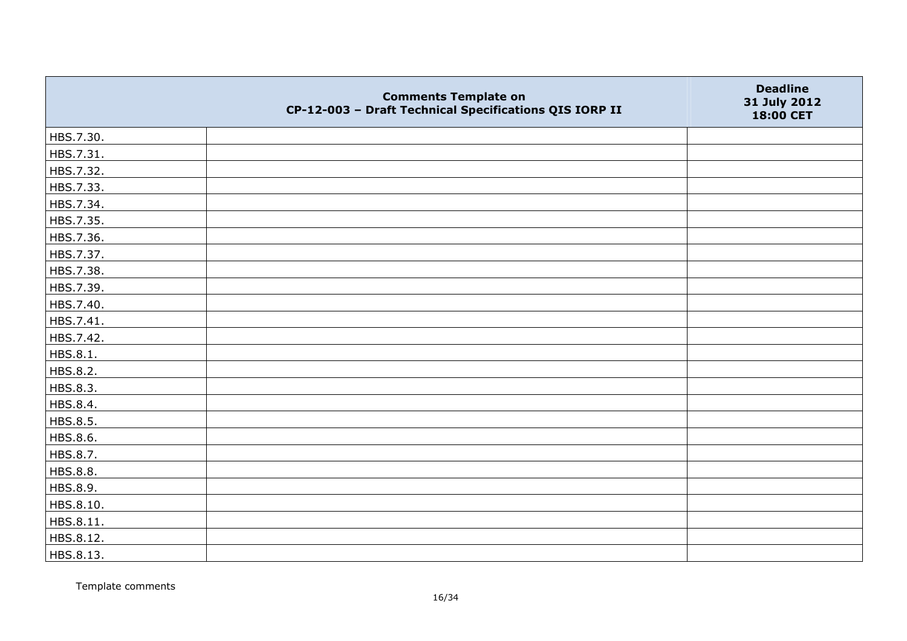|           | <b>Comments Template on</b><br>CP-12-003 - Draft Technical Specifications QIS IORP II | <b>Deadline</b><br>31 July 2012<br>18:00 CET |
|-----------|---------------------------------------------------------------------------------------|----------------------------------------------|
| HBS.7.30. |                                                                                       |                                              |
| HBS.7.31. |                                                                                       |                                              |
| HBS.7.32. |                                                                                       |                                              |
| HBS.7.33. |                                                                                       |                                              |
| HBS.7.34. |                                                                                       |                                              |
| HBS.7.35. |                                                                                       |                                              |
| HBS.7.36. |                                                                                       |                                              |
| HBS.7.37. |                                                                                       |                                              |
| HBS.7.38. |                                                                                       |                                              |
| HBS.7.39. |                                                                                       |                                              |
| HBS.7.40. |                                                                                       |                                              |
| HBS.7.41. |                                                                                       |                                              |
| HBS.7.42. |                                                                                       |                                              |
| HBS.8.1.  |                                                                                       |                                              |
| HBS.8.2.  |                                                                                       |                                              |
| HBS.8.3.  |                                                                                       |                                              |
| HBS.8.4.  |                                                                                       |                                              |
| HBS.8.5.  |                                                                                       |                                              |
| HBS.8.6.  |                                                                                       |                                              |
| HBS.8.7.  |                                                                                       |                                              |
| HBS.8.8.  |                                                                                       |                                              |
| HBS.8.9.  |                                                                                       |                                              |
| HBS.8.10. |                                                                                       |                                              |
| HBS.8.11. |                                                                                       |                                              |
| HBS.8.12. |                                                                                       |                                              |
| HBS.8.13. |                                                                                       |                                              |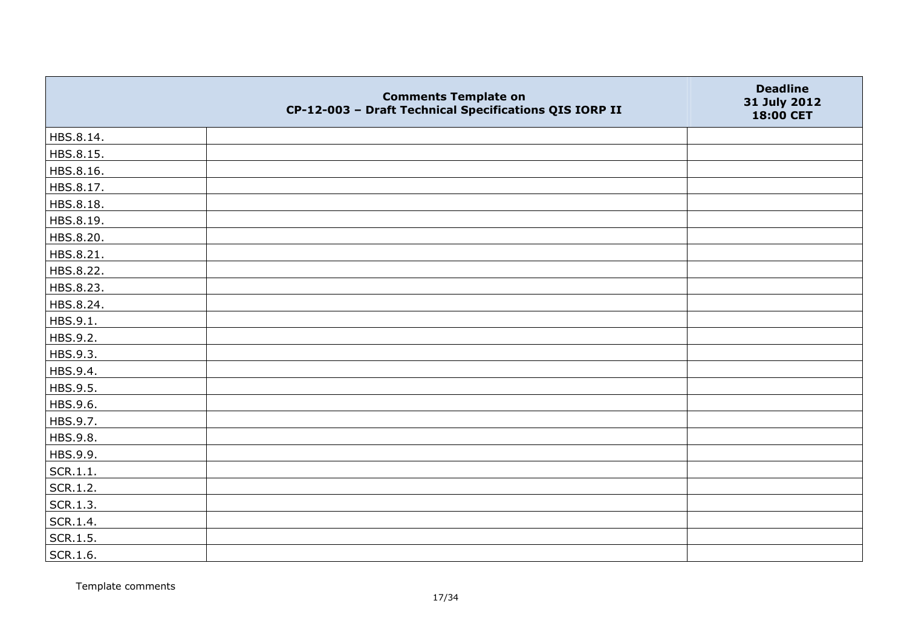|           | <b>Comments Template on</b><br>CP-12-003 - Draft Technical Specifications QIS IORP II | <b>Deadline</b><br>31 July 2012<br>18:00 CET |
|-----------|---------------------------------------------------------------------------------------|----------------------------------------------|
| HBS.8.14. |                                                                                       |                                              |
| HBS.8.15. |                                                                                       |                                              |
| HBS.8.16. |                                                                                       |                                              |
| HBS.8.17. |                                                                                       |                                              |
| HBS.8.18. |                                                                                       |                                              |
| HBS.8.19. |                                                                                       |                                              |
| HBS.8.20. |                                                                                       |                                              |
| HBS.8.21. |                                                                                       |                                              |
| HBS.8.22. |                                                                                       |                                              |
| HBS.8.23. |                                                                                       |                                              |
| HBS.8.24. |                                                                                       |                                              |
| HBS.9.1.  |                                                                                       |                                              |
| HBS.9.2.  |                                                                                       |                                              |
| HBS.9.3.  |                                                                                       |                                              |
| HBS.9.4.  |                                                                                       |                                              |
| HBS.9.5.  |                                                                                       |                                              |
| HBS.9.6.  |                                                                                       |                                              |
| HBS.9.7.  |                                                                                       |                                              |
| HBS.9.8.  |                                                                                       |                                              |
| HBS.9.9.  |                                                                                       |                                              |
| SCR.1.1.  |                                                                                       |                                              |
| SCR.1.2.  |                                                                                       |                                              |
| SCR.1.3.  |                                                                                       |                                              |
| SCR.1.4.  |                                                                                       |                                              |
| SCR.1.5.  |                                                                                       |                                              |
| SCR.1.6.  |                                                                                       |                                              |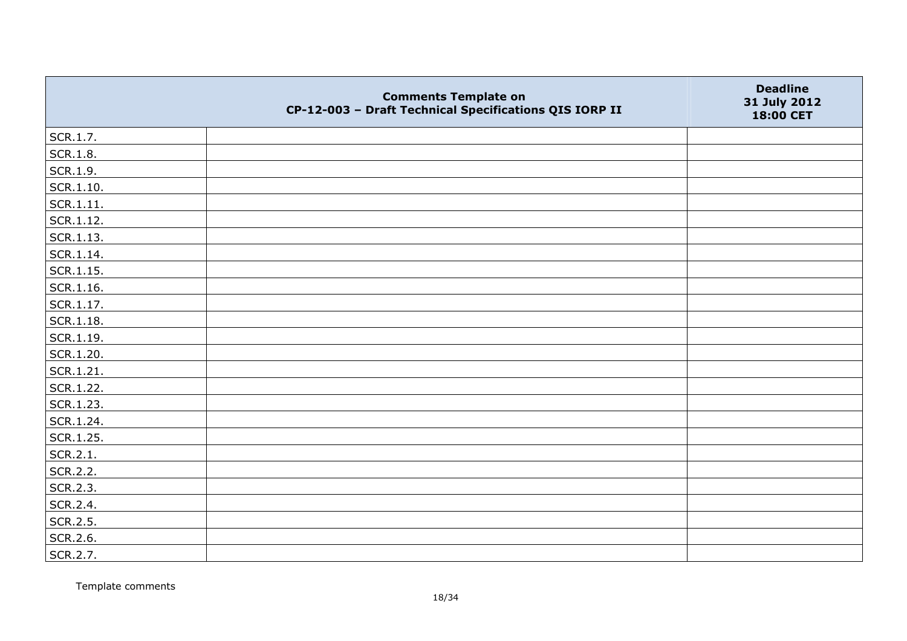|                   | <b>Comments Template on</b><br>CP-12-003 - Draft Technical Specifications QIS IORP II | <b>Deadline</b><br>31 July 2012<br>18:00 CET |
|-------------------|---------------------------------------------------------------------------------------|----------------------------------------------|
| SCR.1.7.          |                                                                                       |                                              |
| SCR.1.8.          |                                                                                       |                                              |
| SCR.1.9.          |                                                                                       |                                              |
| $\vert$ SCR.1.10. |                                                                                       |                                              |
| SCR.1.11.         |                                                                                       |                                              |
| SCR.1.12.         |                                                                                       |                                              |
| SCR.1.13.         |                                                                                       |                                              |
| $ $ SCR.1.14.     |                                                                                       |                                              |
| $\vert$ SCR.1.15. |                                                                                       |                                              |
| SCR.1.16.         |                                                                                       |                                              |
| $ $ SCR.1.17.     |                                                                                       |                                              |
| SCR.1.18.         |                                                                                       |                                              |
| SCR.1.19.         |                                                                                       |                                              |
| SCR.1.20.         |                                                                                       |                                              |
| SCR.1.21.         |                                                                                       |                                              |
| SCR.1.22.         |                                                                                       |                                              |
| SCR.1.23.         |                                                                                       |                                              |
| SCR.1.24.         |                                                                                       |                                              |
| SCR.1.25.         |                                                                                       |                                              |
| SCR.2.1.          |                                                                                       |                                              |
| SCR.2.2.          |                                                                                       |                                              |
| SCR.2.3.          |                                                                                       |                                              |
| SCR.2.4.          |                                                                                       |                                              |
| SCR.2.5.          |                                                                                       |                                              |
| SCR.2.6.          |                                                                                       |                                              |
| SCR.2.7.          |                                                                                       |                                              |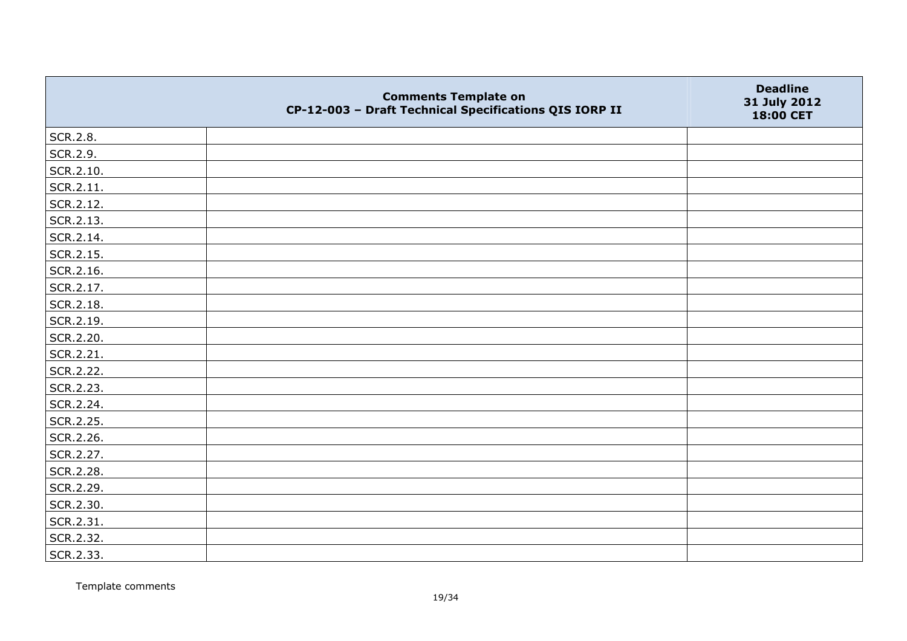|           | <b>Comments Template on</b><br>CP-12-003 - Draft Technical Specifications QIS IORP II | <b>Deadline</b><br>31 July 2012<br>18:00 CET |
|-----------|---------------------------------------------------------------------------------------|----------------------------------------------|
| SCR.2.8.  |                                                                                       |                                              |
| SCR.2.9.  |                                                                                       |                                              |
| SCR.2.10. |                                                                                       |                                              |
| SCR.2.11. |                                                                                       |                                              |
| SCR.2.12. |                                                                                       |                                              |
| SCR.2.13. |                                                                                       |                                              |
| SCR.2.14. |                                                                                       |                                              |
| SCR.2.15. |                                                                                       |                                              |
| SCR.2.16. |                                                                                       |                                              |
| SCR.2.17. |                                                                                       |                                              |
| SCR.2.18. |                                                                                       |                                              |
| SCR.2.19. |                                                                                       |                                              |
| SCR.2.20. |                                                                                       |                                              |
| SCR.2.21. |                                                                                       |                                              |
| SCR.2.22. |                                                                                       |                                              |
| SCR.2.23. |                                                                                       |                                              |
| SCR.2.24. |                                                                                       |                                              |
| SCR.2.25. |                                                                                       |                                              |
| SCR.2.26. |                                                                                       |                                              |
| SCR.2.27. |                                                                                       |                                              |
| SCR.2.28. |                                                                                       |                                              |
| SCR.2.29. |                                                                                       |                                              |
| SCR.2.30. |                                                                                       |                                              |
| SCR.2.31. |                                                                                       |                                              |
| SCR.2.32. |                                                                                       |                                              |
| SCR.2.33. |                                                                                       |                                              |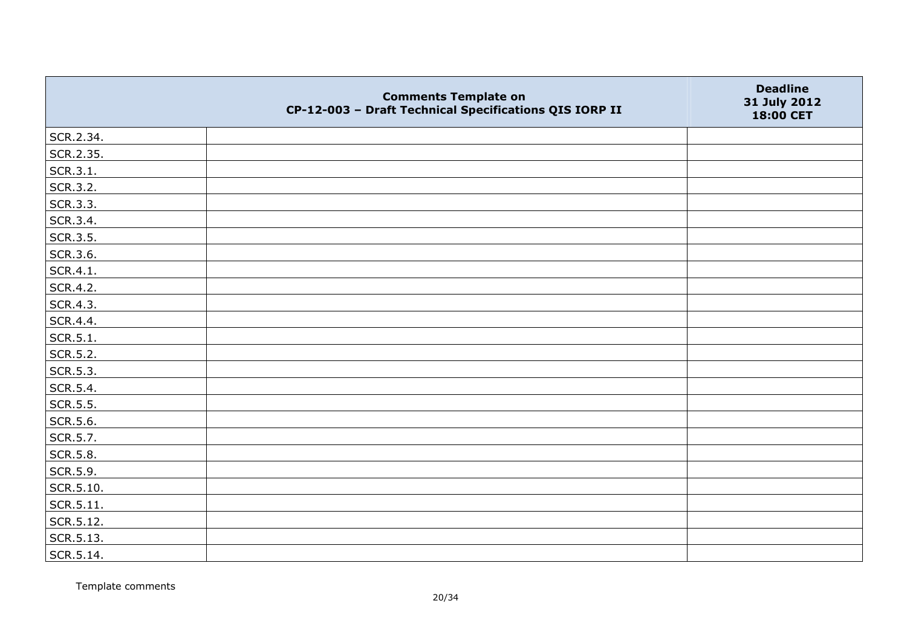|                 | <b>Comments Template on</b><br>CP-12-003 - Draft Technical Specifications QIS IORP II | <b>Deadline</b><br>31 July 2012<br>18:00 CET |
|-----------------|---------------------------------------------------------------------------------------|----------------------------------------------|
| SCR.2.34.       |                                                                                       |                                              |
| SCR.2.35.       |                                                                                       |                                              |
| SCR.3.1.        |                                                                                       |                                              |
| SCR.3.2.        |                                                                                       |                                              |
| SCR.3.3.        |                                                                                       |                                              |
| SCR.3.4.        |                                                                                       |                                              |
| SCR.3.5.        |                                                                                       |                                              |
| SCR.3.6.        |                                                                                       |                                              |
| SCR.4.1.        |                                                                                       |                                              |
| SCR.4.2.        |                                                                                       |                                              |
| SCR.4.3.        |                                                                                       |                                              |
| SCR.4.4.        |                                                                                       |                                              |
| SCR.5.1.        |                                                                                       |                                              |
| SCR.5.2.        |                                                                                       |                                              |
| SCR.5.3.        |                                                                                       |                                              |
| SCR.5.4.        |                                                                                       |                                              |
| SCR.5.5.        |                                                                                       |                                              |
| SCR.5.6.        |                                                                                       |                                              |
| SCR.5.7.        |                                                                                       |                                              |
| <b>SCR.5.8.</b> |                                                                                       |                                              |
| SCR.5.9.        |                                                                                       |                                              |
| SCR.5.10.       |                                                                                       |                                              |
| SCR.5.11.       |                                                                                       |                                              |
| SCR.5.12.       |                                                                                       |                                              |
| SCR.5.13.       |                                                                                       |                                              |
| SCR.5.14.       |                                                                                       |                                              |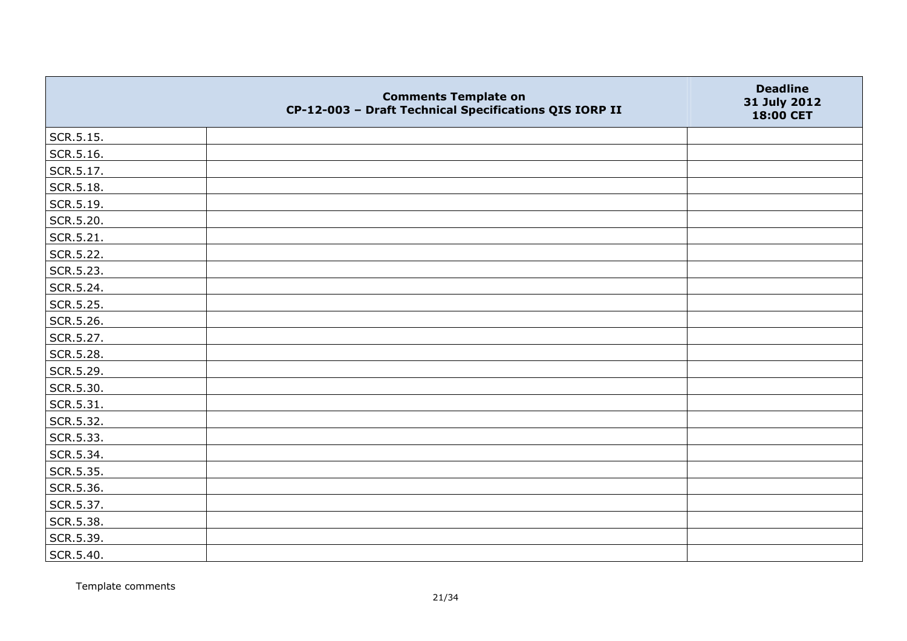|                   | <b>Comments Template on</b><br>CP-12-003 - Draft Technical Specifications QIS IORP II | <b>Deadline</b><br>31 July 2012<br>18:00 CET |
|-------------------|---------------------------------------------------------------------------------------|----------------------------------------------|
| SCR.5.15.         |                                                                                       |                                              |
| SCR.5.16.         |                                                                                       |                                              |
| SCR.5.17.         |                                                                                       |                                              |
| $\vert$ SCR.5.18. |                                                                                       |                                              |
| SCR.5.19.         |                                                                                       |                                              |
| SCR.5.20.         |                                                                                       |                                              |
| SCR.5.21.         |                                                                                       |                                              |
| SCR.5.22.         |                                                                                       |                                              |
| SCR.5.23.         |                                                                                       |                                              |
| SCR.5.24.         |                                                                                       |                                              |
| SCR.5.25.         |                                                                                       |                                              |
| SCR.5.26.         |                                                                                       |                                              |
| SCR.5.27.         |                                                                                       |                                              |
| SCR.5.28.         |                                                                                       |                                              |
| SCR.5.29.         |                                                                                       |                                              |
| SCR.5.30.         |                                                                                       |                                              |
| SCR.5.31.         |                                                                                       |                                              |
| SCR.5.32.         |                                                                                       |                                              |
| SCR.5.33.         |                                                                                       |                                              |
| SCR.5.34.         |                                                                                       |                                              |
| SCR.5.35.         |                                                                                       |                                              |
| SCR.5.36.         |                                                                                       |                                              |
| SCR.5.37.         |                                                                                       |                                              |
| SCR.5.38.         |                                                                                       |                                              |
| SCR.5.39.         |                                                                                       |                                              |
| SCR.5.40.         |                                                                                       |                                              |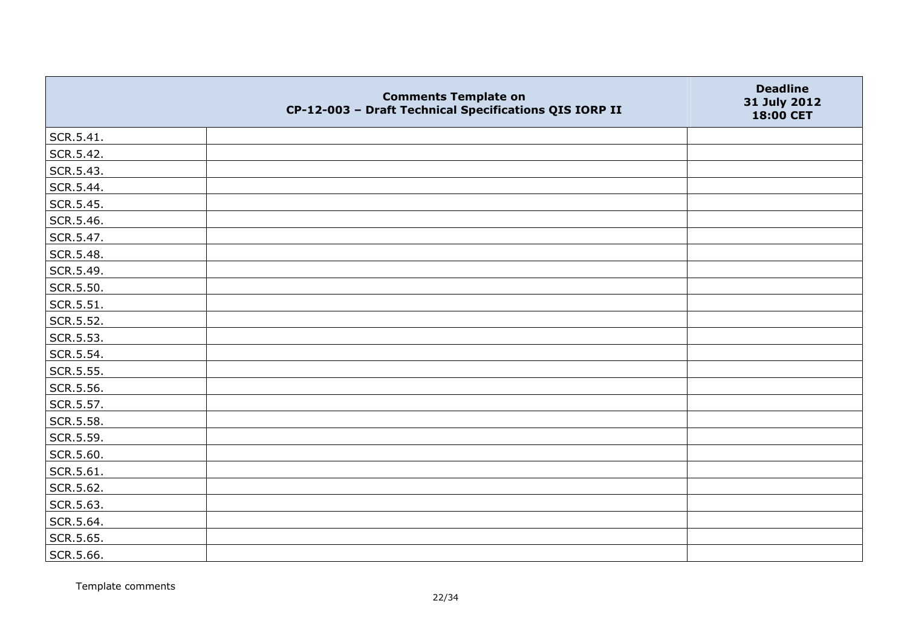|           | <b>Comments Template on</b><br>CP-12-003 - Draft Technical Specifications QIS IORP II | <b>Deadline</b><br>31 July 2012<br>18:00 CET |
|-----------|---------------------------------------------------------------------------------------|----------------------------------------------|
| SCR.5.41. |                                                                                       |                                              |
| SCR.5.42. |                                                                                       |                                              |
| SCR.5.43. |                                                                                       |                                              |
| SCR.5.44. |                                                                                       |                                              |
| SCR.5.45. |                                                                                       |                                              |
| SCR.5.46. |                                                                                       |                                              |
| SCR.5.47. |                                                                                       |                                              |
| SCR.5.48. |                                                                                       |                                              |
| SCR.5.49. |                                                                                       |                                              |
| SCR.5.50. |                                                                                       |                                              |
| SCR.5.51. |                                                                                       |                                              |
| SCR.5.52. |                                                                                       |                                              |
| SCR.5.53. |                                                                                       |                                              |
| SCR.5.54. |                                                                                       |                                              |
| SCR.5.55. |                                                                                       |                                              |
| SCR.5.56. |                                                                                       |                                              |
| SCR.5.57. |                                                                                       |                                              |
| SCR.5.58. |                                                                                       |                                              |
| SCR.5.59. |                                                                                       |                                              |
| SCR.5.60. |                                                                                       |                                              |
| SCR.5.61. |                                                                                       |                                              |
| SCR.5.62. |                                                                                       |                                              |
| SCR.5.63. |                                                                                       |                                              |
| SCR.5.64. |                                                                                       |                                              |
| SCR.5.65. |                                                                                       |                                              |
| SCR.5.66. |                                                                                       |                                              |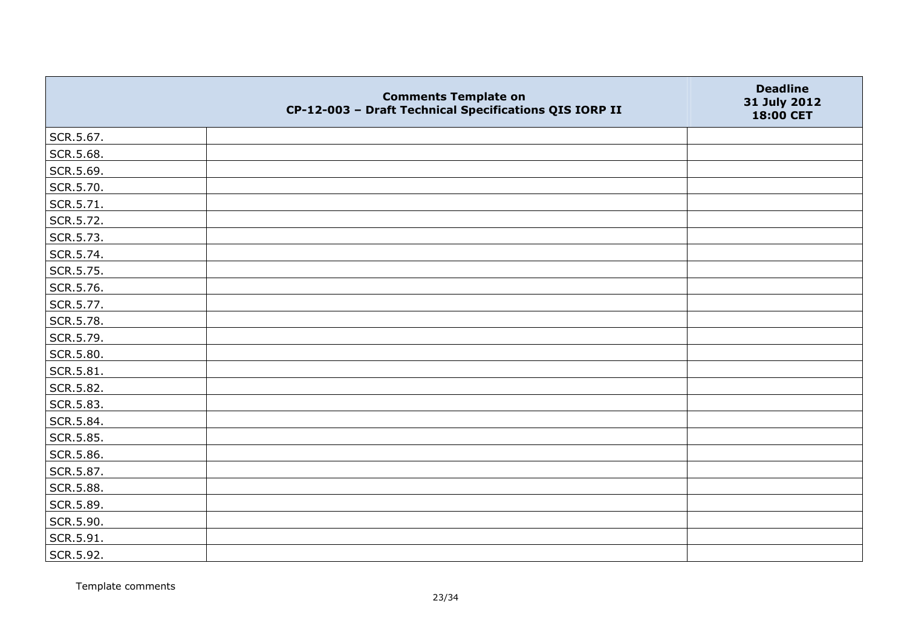|           | <b>Comments Template on</b><br>CP-12-003 - Draft Technical Specifications QIS IORP II | <b>Deadline</b><br>31 July 2012<br>18:00 CET |
|-----------|---------------------------------------------------------------------------------------|----------------------------------------------|
| SCR.5.67. |                                                                                       |                                              |
| SCR.5.68. |                                                                                       |                                              |
| SCR.5.69. |                                                                                       |                                              |
| SCR.5.70. |                                                                                       |                                              |
| SCR.5.71. |                                                                                       |                                              |
| SCR.5.72. |                                                                                       |                                              |
| SCR.5.73. |                                                                                       |                                              |
| SCR.5.74. |                                                                                       |                                              |
| SCR.5.75. |                                                                                       |                                              |
| SCR.5.76. |                                                                                       |                                              |
| SCR.5.77. |                                                                                       |                                              |
| SCR.5.78. |                                                                                       |                                              |
| SCR.5.79. |                                                                                       |                                              |
| SCR.5.80. |                                                                                       |                                              |
| SCR.5.81. |                                                                                       |                                              |
| SCR.5.82. |                                                                                       |                                              |
| SCR.5.83. |                                                                                       |                                              |
| SCR.5.84. |                                                                                       |                                              |
| SCR.5.85. |                                                                                       |                                              |
| SCR.5.86. |                                                                                       |                                              |
| SCR.5.87. |                                                                                       |                                              |
| SCR.5.88. |                                                                                       |                                              |
| SCR.5.89. |                                                                                       |                                              |
| SCR.5.90. |                                                                                       |                                              |
| SCR.5.91. |                                                                                       |                                              |
| SCR.5.92. |                                                                                       |                                              |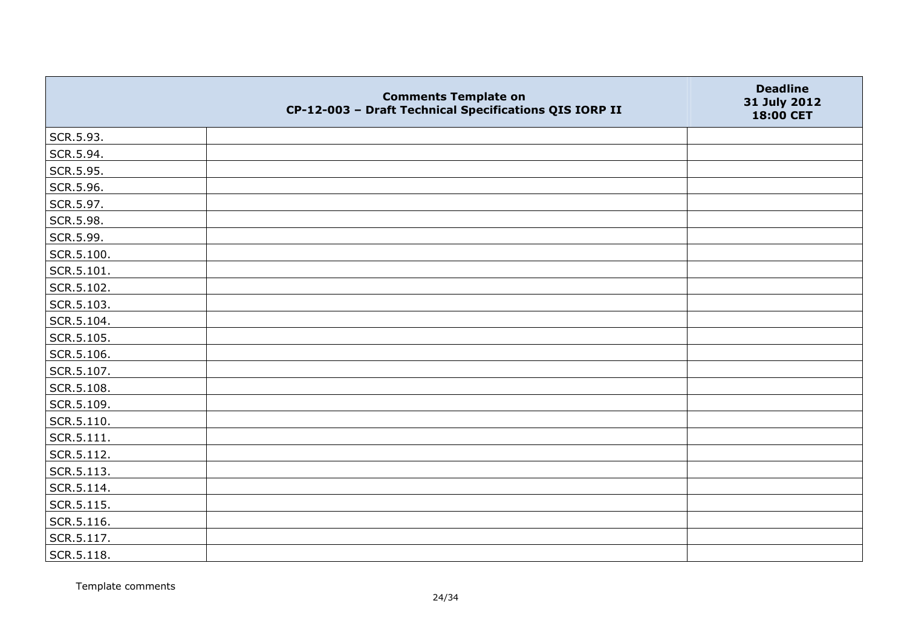|            | <b>Comments Template on</b><br>CP-12-003 - Draft Technical Specifications QIS IORP II | <b>Deadline</b><br>31 July 2012<br>18:00 CET |
|------------|---------------------------------------------------------------------------------------|----------------------------------------------|
| SCR.5.93.  |                                                                                       |                                              |
| SCR.5.94.  |                                                                                       |                                              |
| SCR.5.95.  |                                                                                       |                                              |
| SCR.5.96.  |                                                                                       |                                              |
| SCR.5.97.  |                                                                                       |                                              |
| SCR.5.98.  |                                                                                       |                                              |
| SCR.5.99.  |                                                                                       |                                              |
| SCR.5.100. |                                                                                       |                                              |
| SCR.5.101. |                                                                                       |                                              |
| SCR.5.102. |                                                                                       |                                              |
| SCR.5.103. |                                                                                       |                                              |
| SCR.5.104. |                                                                                       |                                              |
| SCR.5.105. |                                                                                       |                                              |
| SCR.5.106. |                                                                                       |                                              |
| SCR.5.107. |                                                                                       |                                              |
| SCR.5.108. |                                                                                       |                                              |
| SCR.5.109. |                                                                                       |                                              |
| SCR.5.110. |                                                                                       |                                              |
| SCR.5.111. |                                                                                       |                                              |
| SCR.5.112. |                                                                                       |                                              |
| SCR.5.113. |                                                                                       |                                              |
| SCR.5.114. |                                                                                       |                                              |
| SCR.5.115. |                                                                                       |                                              |
| SCR.5.116. |                                                                                       |                                              |
| SCR.5.117. |                                                                                       |                                              |
| SCR.5.118. |                                                                                       |                                              |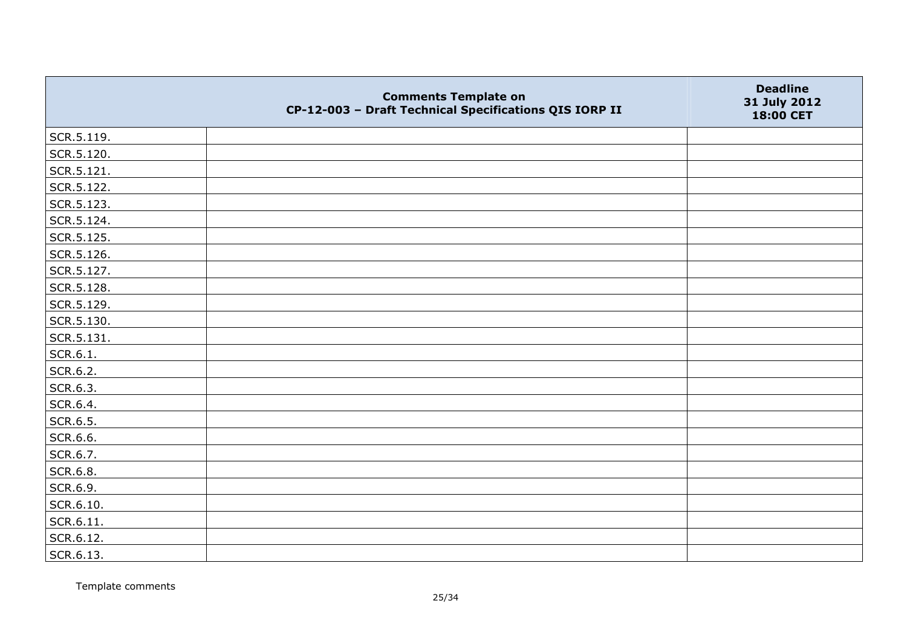|            | <b>Comments Template on</b><br>CP-12-003 - Draft Technical Specifications QIS IORP II | <b>Deadline</b><br>31 July 2012<br>18:00 CET |
|------------|---------------------------------------------------------------------------------------|----------------------------------------------|
| SCR.5.119. |                                                                                       |                                              |
| SCR.5.120. |                                                                                       |                                              |
| SCR.5.121. |                                                                                       |                                              |
| SCR.5.122. |                                                                                       |                                              |
| SCR.5.123. |                                                                                       |                                              |
| SCR.5.124. |                                                                                       |                                              |
| SCR.5.125. |                                                                                       |                                              |
| SCR.5.126. |                                                                                       |                                              |
| SCR.5.127. |                                                                                       |                                              |
| SCR.5.128. |                                                                                       |                                              |
| SCR.5.129. |                                                                                       |                                              |
| SCR.5.130. |                                                                                       |                                              |
| SCR.5.131. |                                                                                       |                                              |
| SCR.6.1.   |                                                                                       |                                              |
| SCR.6.2.   |                                                                                       |                                              |
| SCR.6.3.   |                                                                                       |                                              |
| SCR.6.4.   |                                                                                       |                                              |
| SCR.6.5.   |                                                                                       |                                              |
| SCR.6.6.   |                                                                                       |                                              |
| SCR.6.7.   |                                                                                       |                                              |
| SCR.6.8.   |                                                                                       |                                              |
| SCR.6.9.   |                                                                                       |                                              |
| SCR.6.10.  |                                                                                       |                                              |
| SCR.6.11.  |                                                                                       |                                              |
| SCR.6.12.  |                                                                                       |                                              |
| SCR.6.13.  |                                                                                       |                                              |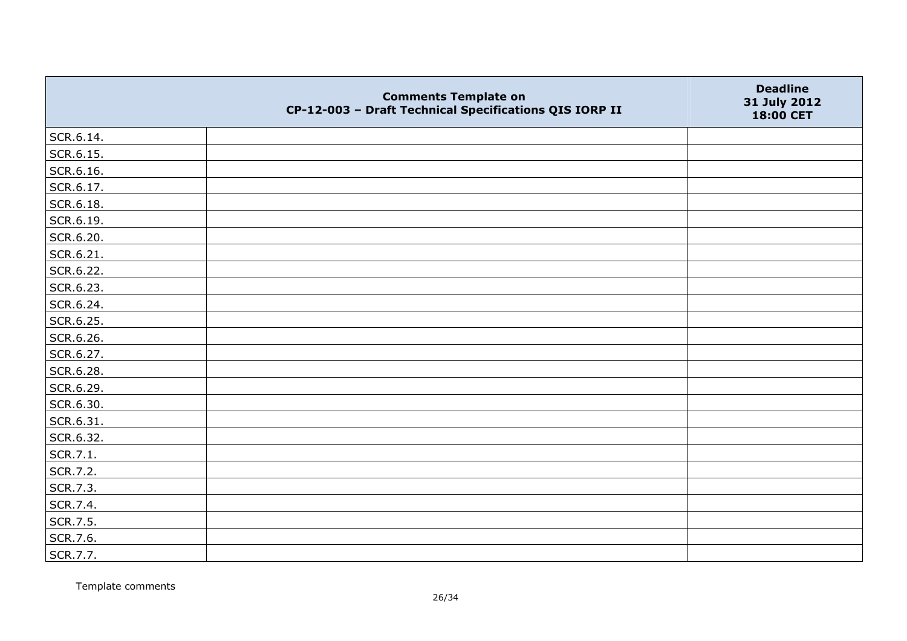|           | <b>Comments Template on</b><br>CP-12-003 - Draft Technical Specifications QIS IORP II | <b>Deadline</b><br>31 July 2012<br>18:00 CET |
|-----------|---------------------------------------------------------------------------------------|----------------------------------------------|
| SCR.6.14. |                                                                                       |                                              |
| SCR.6.15. |                                                                                       |                                              |
| SCR.6.16. |                                                                                       |                                              |
| SCR.6.17. |                                                                                       |                                              |
| SCR.6.18. |                                                                                       |                                              |
| SCR.6.19. |                                                                                       |                                              |
| SCR.6.20. |                                                                                       |                                              |
| SCR.6.21. |                                                                                       |                                              |
| SCR.6.22. |                                                                                       |                                              |
| SCR.6.23. |                                                                                       |                                              |
| SCR.6.24. |                                                                                       |                                              |
| SCR.6.25. |                                                                                       |                                              |
| SCR.6.26. |                                                                                       |                                              |
| SCR.6.27. |                                                                                       |                                              |
| SCR.6.28. |                                                                                       |                                              |
| SCR.6.29. |                                                                                       |                                              |
| SCR.6.30. |                                                                                       |                                              |
| SCR.6.31. |                                                                                       |                                              |
| SCR.6.32. |                                                                                       |                                              |
| SCR.7.1.  |                                                                                       |                                              |
| SCR.7.2.  |                                                                                       |                                              |
| SCR.7.3.  |                                                                                       |                                              |
| SCR.7.4.  |                                                                                       |                                              |
| SCR.7.5.  |                                                                                       |                                              |
| SCR.7.6.  |                                                                                       |                                              |
| SCR.7.7.  |                                                                                       |                                              |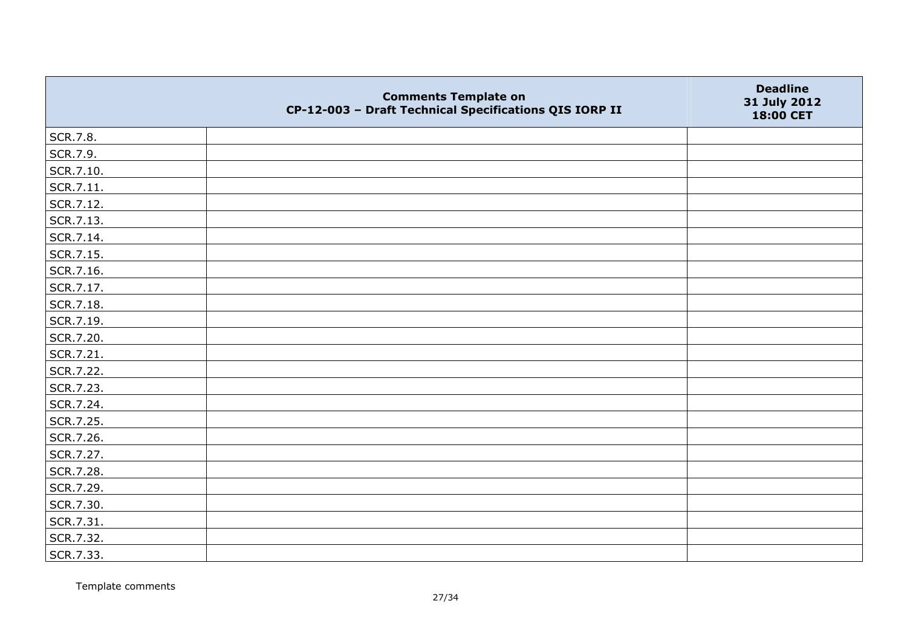|           | <b>Comments Template on</b><br>CP-12-003 - Draft Technical Specifications QIS IORP II | <b>Deadline</b><br>31 July 2012<br>18:00 CET |
|-----------|---------------------------------------------------------------------------------------|----------------------------------------------|
| SCR.7.8.  |                                                                                       |                                              |
| SCR.7.9.  |                                                                                       |                                              |
| SCR.7.10. |                                                                                       |                                              |
| SCR.7.11. |                                                                                       |                                              |
| SCR.7.12. |                                                                                       |                                              |
| SCR.7.13. |                                                                                       |                                              |
| SCR.7.14. |                                                                                       |                                              |
| SCR.7.15. |                                                                                       |                                              |
| SCR.7.16. |                                                                                       |                                              |
| SCR.7.17. |                                                                                       |                                              |
| SCR.7.18. |                                                                                       |                                              |
| SCR.7.19. |                                                                                       |                                              |
| SCR.7.20. |                                                                                       |                                              |
| SCR.7.21. |                                                                                       |                                              |
| SCR.7.22. |                                                                                       |                                              |
| SCR.7.23. |                                                                                       |                                              |
| SCR.7.24. |                                                                                       |                                              |
| SCR.7.25. |                                                                                       |                                              |
| SCR.7.26. |                                                                                       |                                              |
| SCR.7.27. |                                                                                       |                                              |
| SCR.7.28. |                                                                                       |                                              |
| SCR.7.29. |                                                                                       |                                              |
| SCR.7.30. |                                                                                       |                                              |
| SCR.7.31. |                                                                                       |                                              |
| SCR.7.32. |                                                                                       |                                              |
| SCR.7.33. |                                                                                       |                                              |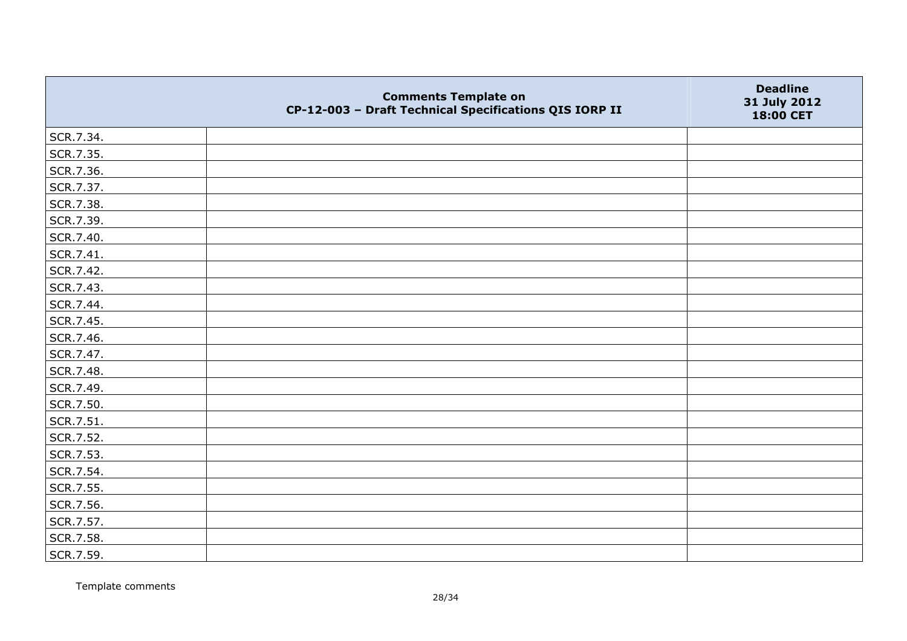|           | <b>Comments Template on</b><br>CP-12-003 - Draft Technical Specifications QIS IORP II | <b>Deadline</b><br>31 July 2012<br>18:00 CET |
|-----------|---------------------------------------------------------------------------------------|----------------------------------------------|
| SCR.7.34. |                                                                                       |                                              |
| SCR.7.35. |                                                                                       |                                              |
| SCR.7.36. |                                                                                       |                                              |
| SCR.7.37. |                                                                                       |                                              |
| SCR.7.38. |                                                                                       |                                              |
| SCR.7.39. |                                                                                       |                                              |
| SCR.7.40. |                                                                                       |                                              |
| SCR.7.41. |                                                                                       |                                              |
| SCR.7.42. |                                                                                       |                                              |
| SCR.7.43. |                                                                                       |                                              |
| SCR.7.44. |                                                                                       |                                              |
| SCR.7.45. |                                                                                       |                                              |
| SCR.7.46. |                                                                                       |                                              |
| SCR.7.47. |                                                                                       |                                              |
| SCR.7.48. |                                                                                       |                                              |
| SCR.7.49. |                                                                                       |                                              |
| SCR.7.50. |                                                                                       |                                              |
| SCR.7.51. |                                                                                       |                                              |
| SCR.7.52. |                                                                                       |                                              |
| SCR.7.53. |                                                                                       |                                              |
| SCR.7.54. |                                                                                       |                                              |
| SCR.7.55. |                                                                                       |                                              |
| SCR.7.56. |                                                                                       |                                              |
| SCR.7.57. |                                                                                       |                                              |
| SCR.7.58. |                                                                                       |                                              |
| SCR.7.59. |                                                                                       |                                              |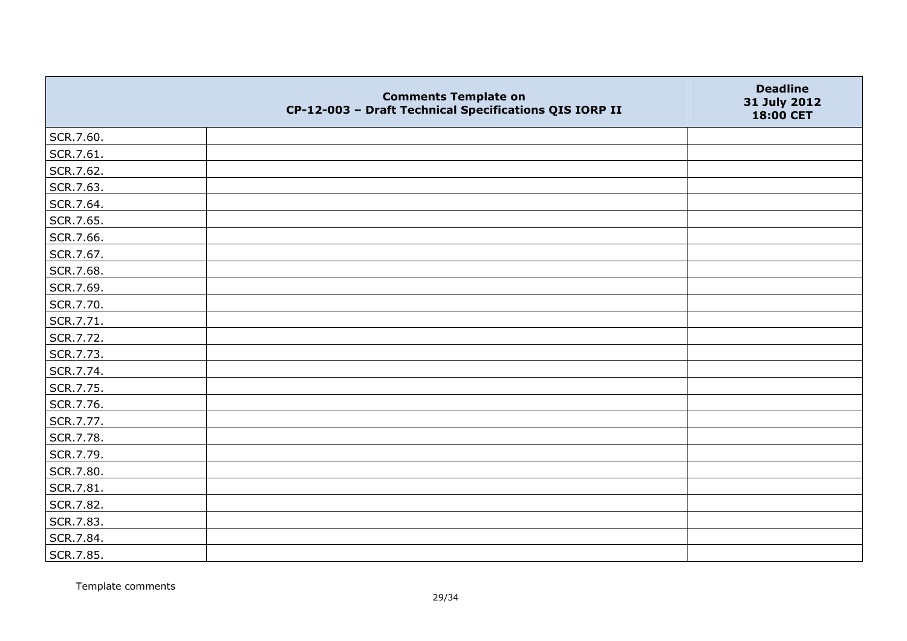|           | <b>Comments Template on</b><br>CP-12-003 - Draft Technical Specifications QIS IORP II | <b>Deadline</b><br>31 July 2012<br>18:00 CET |
|-----------|---------------------------------------------------------------------------------------|----------------------------------------------|
| SCR.7.60. |                                                                                       |                                              |
| SCR.7.61. |                                                                                       |                                              |
| SCR.7.62. |                                                                                       |                                              |
| SCR.7.63. |                                                                                       |                                              |
| SCR.7.64. |                                                                                       |                                              |
| SCR.7.65. |                                                                                       |                                              |
| SCR.7.66. |                                                                                       |                                              |
| SCR.7.67. |                                                                                       |                                              |
| SCR.7.68. |                                                                                       |                                              |
| SCR.7.69. |                                                                                       |                                              |
| SCR.7.70. |                                                                                       |                                              |
| SCR.7.71. |                                                                                       |                                              |
| SCR.7.72. |                                                                                       |                                              |
| SCR.7.73. |                                                                                       |                                              |
| SCR.7.74. |                                                                                       |                                              |
| SCR.7.75. |                                                                                       |                                              |
| SCR.7.76. |                                                                                       |                                              |
| SCR.7.77. |                                                                                       |                                              |
| SCR.7.78. |                                                                                       |                                              |
| SCR.7.79. |                                                                                       |                                              |
| SCR.7.80. |                                                                                       |                                              |
| SCR.7.81. |                                                                                       |                                              |
| SCR.7.82. |                                                                                       |                                              |
| SCR.7.83. |                                                                                       |                                              |
| SCR.7.84. |                                                                                       |                                              |
| SCR.7.85. |                                                                                       |                                              |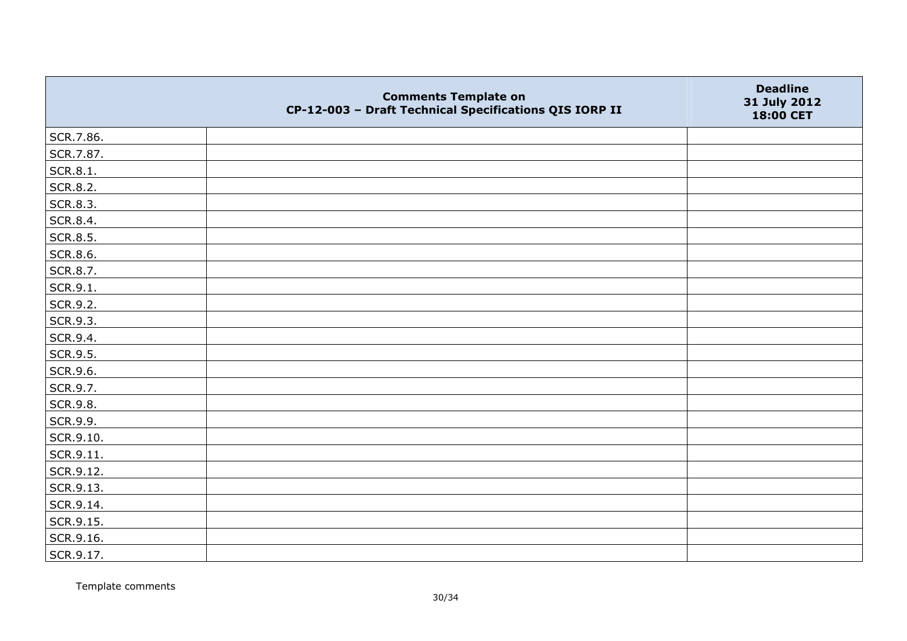|                 | <b>Comments Template on</b><br>CP-12-003 - Draft Technical Specifications QIS IORP II | <b>Deadline</b><br>31 July 2012<br>18:00 CET |
|-----------------|---------------------------------------------------------------------------------------|----------------------------------------------|
| SCR.7.86.       |                                                                                       |                                              |
| SCR.7.87.       |                                                                                       |                                              |
| SCR.8.1.        |                                                                                       |                                              |
| SCR.8.2.        |                                                                                       |                                              |
| SCR.8.3.        |                                                                                       |                                              |
| SCR.8.4.        |                                                                                       |                                              |
| SCR.8.5.        |                                                                                       |                                              |
| <b>SCR.8.6.</b> |                                                                                       |                                              |
| SCR.8.7.        |                                                                                       |                                              |
| SCR.9.1.        |                                                                                       |                                              |
| SCR.9.2.        |                                                                                       |                                              |
| SCR.9.3.        |                                                                                       |                                              |
| SCR.9.4.        |                                                                                       |                                              |
| SCR.9.5.        |                                                                                       |                                              |
| SCR.9.6.        |                                                                                       |                                              |
| SCR.9.7.        |                                                                                       |                                              |
| SCR.9.8.        |                                                                                       |                                              |
| SCR.9.9.        |                                                                                       |                                              |
| SCR.9.10.       |                                                                                       |                                              |
| SCR.9.11.       |                                                                                       |                                              |
| SCR.9.12.       |                                                                                       |                                              |
| SCR.9.13.       |                                                                                       |                                              |
| SCR.9.14.       |                                                                                       |                                              |
| SCR.9.15.       |                                                                                       |                                              |
| SCR.9.16.       |                                                                                       |                                              |
| SCR.9.17.       |                                                                                       |                                              |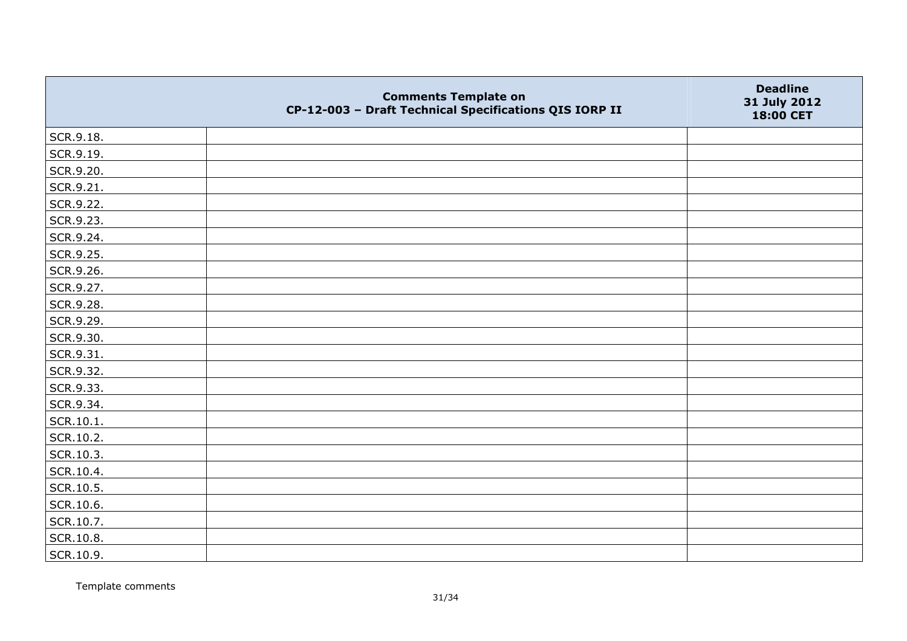|                   | <b>Comments Template on</b><br>CP-12-003 - Draft Technical Specifications QIS IORP II | <b>Deadline</b><br>31 July 2012<br>18:00 CET |
|-------------------|---------------------------------------------------------------------------------------|----------------------------------------------|
| SCR.9.18.         |                                                                                       |                                              |
| SCR.9.19.         |                                                                                       |                                              |
| SCR.9.20.         |                                                                                       |                                              |
| SCR.9.21.         |                                                                                       |                                              |
| SCR.9.22.         |                                                                                       |                                              |
| SCR.9.23.         |                                                                                       |                                              |
| SCR.9.24.         |                                                                                       |                                              |
| SCR.9.25.         |                                                                                       |                                              |
| SCR.9.26.         |                                                                                       |                                              |
| SCR.9.27.         |                                                                                       |                                              |
| SCR.9.28.         |                                                                                       |                                              |
| SCR.9.29.         |                                                                                       |                                              |
| SCR.9.30.         |                                                                                       |                                              |
| SCR.9.31.         |                                                                                       |                                              |
| SCR.9.32.         |                                                                                       |                                              |
| SCR.9.33.         |                                                                                       |                                              |
| SCR.9.34.         |                                                                                       |                                              |
| $\vert$ SCR.10.1. |                                                                                       |                                              |
| SCR.10.2.         |                                                                                       |                                              |
| SCR.10.3.         |                                                                                       |                                              |
| SCR.10.4.         |                                                                                       |                                              |
| SCR.10.5.         |                                                                                       |                                              |
| SCR.10.6.         |                                                                                       |                                              |
| SCR.10.7.         |                                                                                       |                                              |
| SCR.10.8.         |                                                                                       |                                              |
| SCR.10.9.         |                                                                                       |                                              |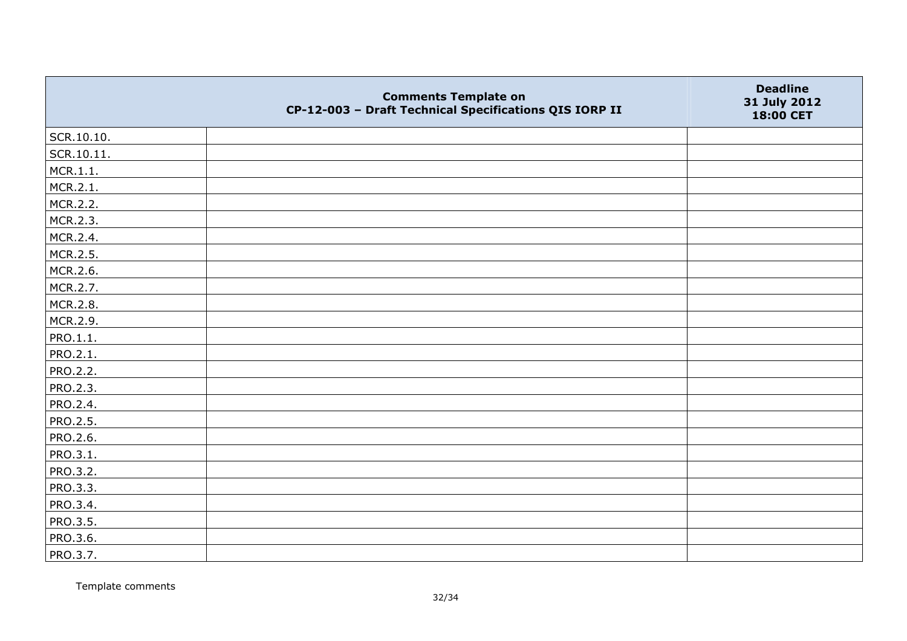|            | <b>Comments Template on</b><br>CP-12-003 - Draft Technical Specifications QIS IORP II | <b>Deadline</b><br>31 July 2012<br>18:00 CET |
|------------|---------------------------------------------------------------------------------------|----------------------------------------------|
| SCR.10.10. |                                                                                       |                                              |
| SCR.10.11. |                                                                                       |                                              |
| MCR.1.1.   |                                                                                       |                                              |
| MCR.2.1.   |                                                                                       |                                              |
| MCR.2.2.   |                                                                                       |                                              |
| MCR.2.3.   |                                                                                       |                                              |
| MCR.2.4.   |                                                                                       |                                              |
| MCR.2.5.   |                                                                                       |                                              |
| MCR.2.6.   |                                                                                       |                                              |
| MCR.2.7.   |                                                                                       |                                              |
| MCR.2.8.   |                                                                                       |                                              |
| MCR.2.9.   |                                                                                       |                                              |
| PRO.1.1.   |                                                                                       |                                              |
| PRO.2.1.   |                                                                                       |                                              |
| PRO.2.2.   |                                                                                       |                                              |
| PRO.2.3.   |                                                                                       |                                              |
| PRO.2.4.   |                                                                                       |                                              |
| PRO.2.5.   |                                                                                       |                                              |
| PRO.2.6.   |                                                                                       |                                              |
| PRO.3.1.   |                                                                                       |                                              |
| PRO.3.2.   |                                                                                       |                                              |
| PRO.3.3.   |                                                                                       |                                              |
| PRO.3.4.   |                                                                                       |                                              |
| PRO.3.5.   |                                                                                       |                                              |
| PRO.3.6.   |                                                                                       |                                              |
| PRO.3.7.   |                                                                                       |                                              |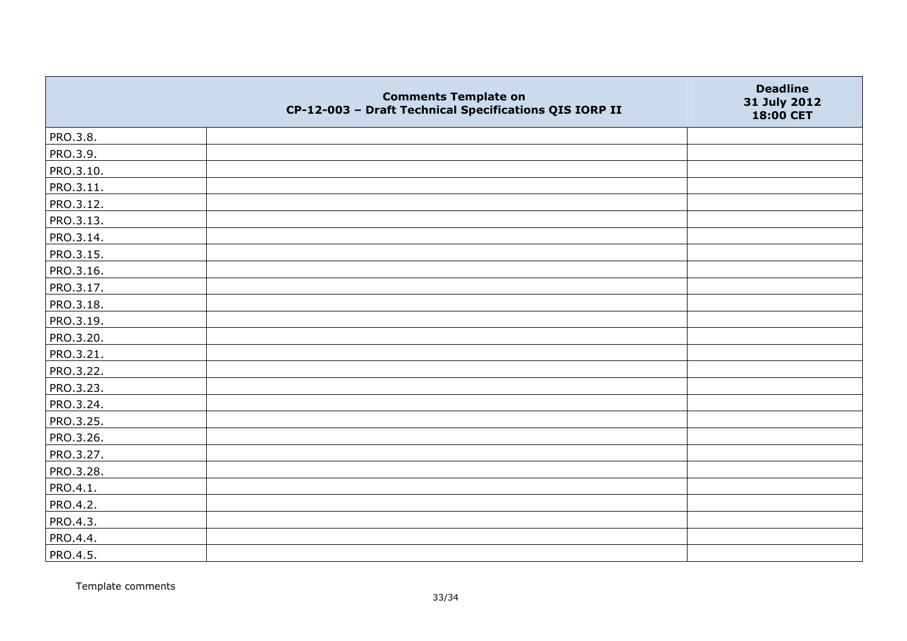|           | <b>Comments Template on</b><br>CP-12-003 - Draft Technical Specifications QIS IORP II | <b>Deadline</b><br>31 July 2012<br>18:00 CET |
|-----------|---------------------------------------------------------------------------------------|----------------------------------------------|
| PRO.3.8.  |                                                                                       |                                              |
| PRO.3.9.  |                                                                                       |                                              |
| PRO.3.10. |                                                                                       |                                              |
| PRO.3.11. |                                                                                       |                                              |
| PRO.3.12. |                                                                                       |                                              |
| PRO.3.13. |                                                                                       |                                              |
| PRO.3.14. |                                                                                       |                                              |
| PRO.3.15. |                                                                                       |                                              |
| PRO.3.16. |                                                                                       |                                              |
| PRO.3.17. |                                                                                       |                                              |
| PRO.3.18. |                                                                                       |                                              |
| PRO.3.19. |                                                                                       |                                              |
| PRO.3.20. |                                                                                       |                                              |
| PRO.3.21. |                                                                                       |                                              |
| PRO.3.22. |                                                                                       |                                              |
| PRO.3.23. |                                                                                       |                                              |
| PRO.3.24. |                                                                                       |                                              |
| PRO.3.25. |                                                                                       |                                              |
| PRO.3.26. |                                                                                       |                                              |
| PRO.3.27. |                                                                                       |                                              |
| PRO.3.28. |                                                                                       |                                              |
| PRO.4.1.  |                                                                                       |                                              |
| PRO.4.2.  |                                                                                       |                                              |
| PRO.4.3.  |                                                                                       |                                              |
| PRO.4.4.  |                                                                                       |                                              |
| PRO.4.5.  |                                                                                       |                                              |